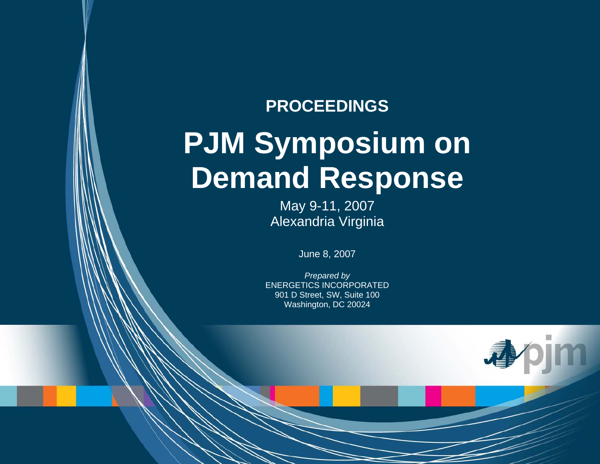# **PROCEEDINGS PJM Symposium on Demand Response**

May 9-11, 2007 Alexandria Virginia

June 8, 2007

*Prepared by*  ENERGETICS INCORPORATED 901 D Street, SW, Suite 100 Washington, DC 20024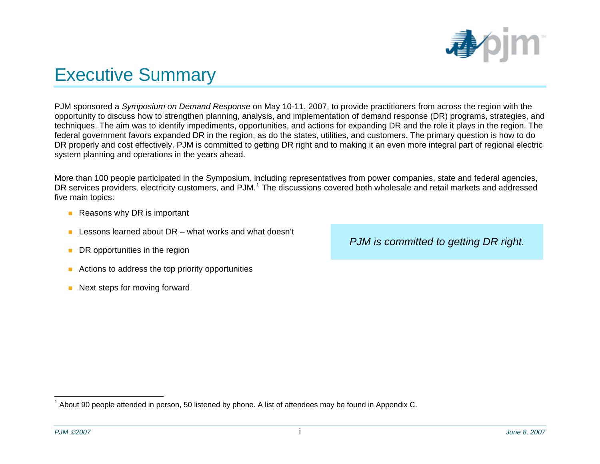

## <span id="page-1-1"></span>Executive Summary

PJM sponsored a *Symposium on Demand Response* on May 10-11, 2007, to provide practitioners from across the region with the opportunity to discuss how to strengthen planning, analysis, and implementation of demand response (DR) programs, strategies, and techniques. The aim was to identify impediments, opportunities, and actions for expanding DR and the role it plays in the region. The federal government favors expanded DR in the region, as do the states, utilities, and customers. The primary question is how to do DR properly and cost effectively. PJM is committed to getting DR right and to making it an even more integral part of regional electric system planning and operations in the years ahead.

More than 100 people participated in the Symposium*,* including representatives from power companies, state and federal agencies, DR services providers, electricity customers, and PJM.<sup>[1](#page-1-0)</sup> The discussions covered both wholesale and retail markets and addressed five main topics:

- Reasons why DR is important
- **Lessons learned about DR** what works and what doesn't
- **DR** opportunities in the region
- **Actions to address the top priority opportunities**
- Next steps for moving forward

*PJM is committed to getting DR right.* 

<span id="page-1-0"></span> $1$  About 90 people attended in person, 50 listened by phone. A list of attendees may be found in Appendix C.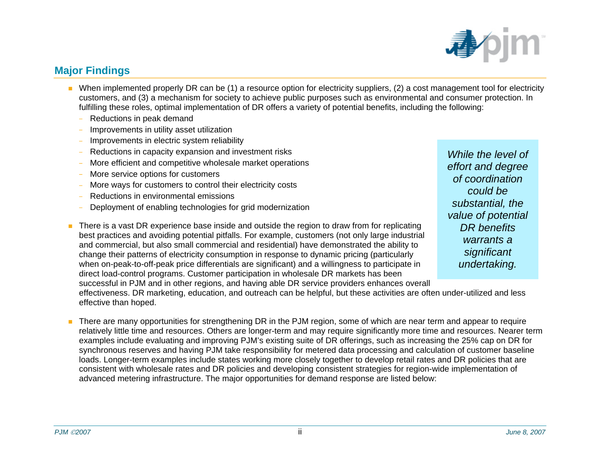#### There is a vast DR experience base inside and outside the region to draw from for replicating best practices and avoiding potential pitfalls. For example, customers (not only large industrial and commercial, but also small commercial and residential) have demonstrated the ability to change their patterns of electricity consumption in response to dynamic pricing (particularly when on-peak-to-off-peak price differentials are significant) and a willingness to participate in direct load-control programs. Customer participation in wholesale DR markets has been

successful in PJM and in other regions, and having able DR service providers enhances overall effectiveness. DR marketing, education, and outreach can be helpful, but these activities are often under-utilized and less effective than hoped.

٠ There are many opportunities for strengthening DR in the PJM region, some of which are near term and appear to require relatively little time and resources. Others are longer-term and may require significantly more time and resources. Nearer term examples include evaluating and improving PJM's existing suite of DR offerings, such as increasing the 25% cap on DR for synchronous reserves and having PJM take responsibility for metered data processing and calculation of customer baseline loads. Longer-term examples include states working more closely together to develop retail rates and DR policies that are consistent with wholesale rates and DR policies and developing consistent strategies for region-wide implementation of advanced metering infrastructure. The major opportunities for demand response are listed below:

#### **Major Findings**

- When implemented properly DR can be (1) a resource option for electricity suppliers, (2) a cost management tool for electricity customers, and (3) a mechanism for society to achieve public purposes such as environmental and consumer protection. In fulfilling these roles, optimal implementation of DR offers a variety of potential benefits, including the following:
	- Reductions in peak demand
	- Improvements in utility asset utilization
	- Improvements in electric system reliability
	- Reductions in capacity expansion and investment risks
	- More efficient and competitive wholesale market operations
	- More service options for customers
	- More ways for customers to control their electricity costs
	- Reductions in environmental emissions
	- Deployment of enabling technologies for grid modernization



*While the level of effort and degree of coordination could be substantial, the value of potential DR benefits warrants a significant undertaking.*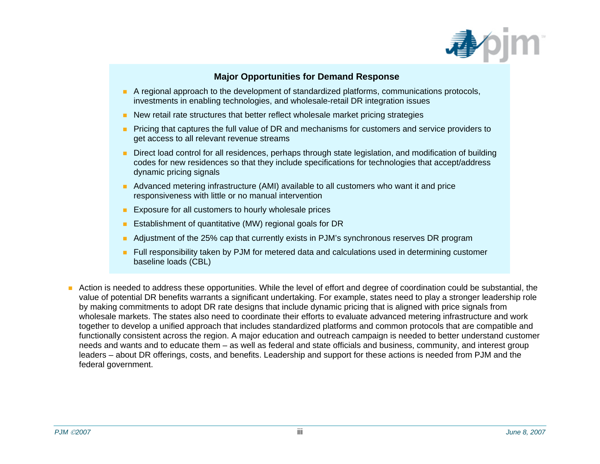

#### **Major Opportunities for Demand Response**

- A regional approach to the development of standardized platforms, communications protocols, investments in enabling technologies, and wholesale-retail DR integration issues
- **New retail rate structures that better reflect wholesale market pricing strategies**
- **Pricing that captures the full value of DR and mechanisms for customers and service providers to** get access to all relevant revenue streams
- **Direct load control for all residences, perhaps through state legislation, and modification of building** codes for new residences so that they include specifications for technologies that accept/address dynamic pricing signals
- **Advanced metering infrastructure (AMI) available to all customers who want it and price** responsiveness with little or no manual intervention
- **Exposure for all customers to hourly wholesale prices**
- **E** Establishment of quantitative (MW) regional goals for DR
- m. Adjustment of the 25% cap that currently exists in PJM's synchronous reserves DR program
- **F** Full responsibility taken by PJM for metered data and calculations used in determining customer baseline loads (CBL)
- Action is needed to address these opportunities. While the level of effort and degree of coordination could be substantial, the value of potential DR benefits warrants a significant undertaking. For example, states need to play a stronger leadership role by making commitments to adopt DR rate designs that include dynamic pricing that is aligned with price signals from wholesale markets. The states also need to coordinate their efforts to evaluate advanced metering infrastructure and work together to develop a unified approach that includes standardized platforms and common protocols that are compatible and functionally consistent across the region. A major education and outreach campaign is needed to better understand customer needs and wants and to educate them – as well as federal and state officials and business, community, and interest group leaders – about DR offerings, costs, and benefits. Leadership and support for these actions is needed from PJM and the federal government.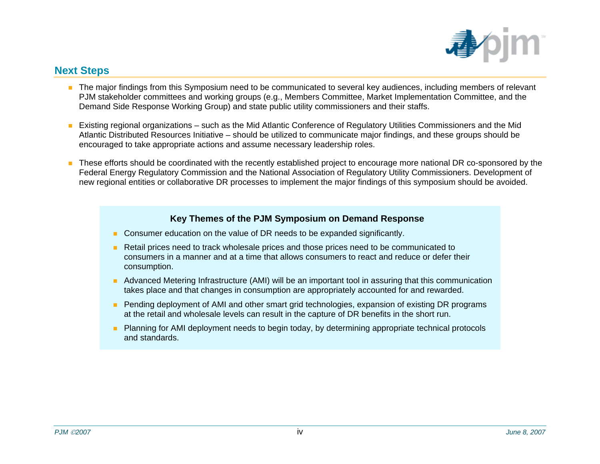

#### **Next Steps**

- The major findings from this Symposium need to be communicated to several key audiences, including members of relevant PJM stakeholder committees and working groups (e.g., Members Committee, Market Implementation Committee, and the Demand Side Response Working Group) and state public utility commissioners and their staffs.
- Existing regional organizations such as the Mid Atlantic Conference of Regulatory Utilities Commissioners and the Mid Atlantic Distributed Resources Initiative – should be utilized to communicate major findings, and these groups should be encouraged to take appropriate actions and assume necessary leadership roles.
- These efforts should be coordinated with the recently established project to encourage more national DR co-sponsored by the Federal Energy Regulatory Commission and the National Association of Regulatory Utility Commissioners. Development of new regional entities or collaborative DR processes to implement the major findings of this symposium should be avoided.

#### **Key Themes of the PJM Symposium on Demand Response**

- **Consumer education on the value of DR needs to be expanded significantly.**
- Retail prices need to track wholesale prices and those prices need to be communicated to consumers in a manner and at a time that allows consumers to react and reduce or defer their consumption.
- **Advanced Metering Infrastructure (AMI) will be an important tool in assuring that this communication** takes place and that changes in consumption are appropriately accounted for and rewarded.
- **Pending deployment of AMI and other smart grid technologies, expansion of existing DR programs** at the retail and wholesale levels can result in the capture of DR benefits in the short run.
- **Planning for AMI deployment needs to begin today, by determining appropriate technical protocols** and standards.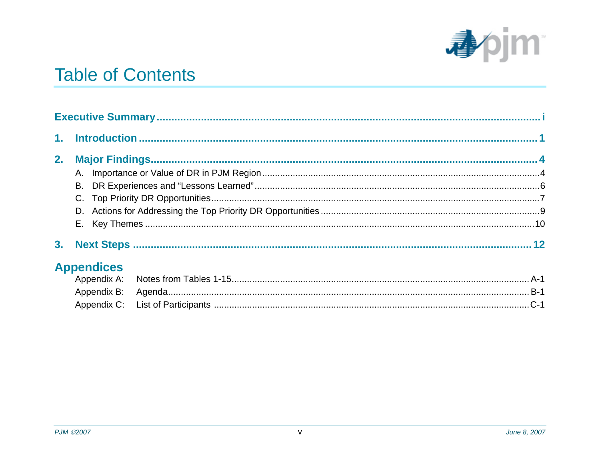

## **Table of Contents**

| 1 <sub>1</sub> |                   |  |  |  |  |  |
|----------------|-------------------|--|--|--|--|--|
| 2.             |                   |  |  |  |  |  |
|                |                   |  |  |  |  |  |
|                | В.                |  |  |  |  |  |
|                |                   |  |  |  |  |  |
|                |                   |  |  |  |  |  |
|                |                   |  |  |  |  |  |
| 3 <sub>1</sub> |                   |  |  |  |  |  |
|                | <b>Appendices</b> |  |  |  |  |  |
|                | Appendix A:       |  |  |  |  |  |
|                | Appendix B:       |  |  |  |  |  |
|                | Appendix C:       |  |  |  |  |  |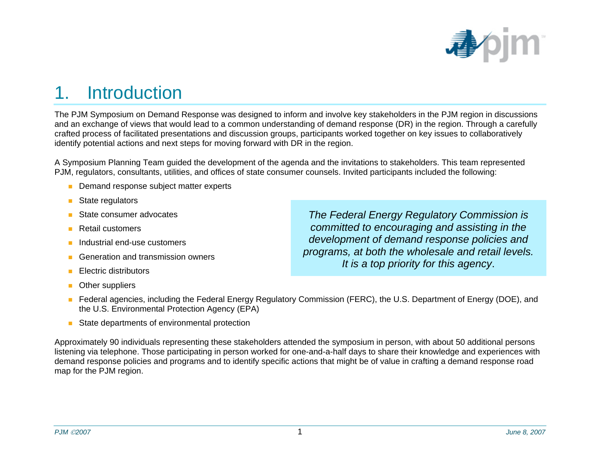

## <span id="page-6-0"></span>1. Introduction

The PJM Symposium on Demand Response was designed to inform and involve key stakeholders in the PJM region in discussions and an exchange of views that would lead to a common understanding of demand response (DR) in the region. Through a carefully crafted process of facilitated presentations and discussion groups, participants worked together on key issues to collaboratively identify potential actions and next steps for moving forward with DR in the region.

A Symposium Planning Team guided the development of the agenda and the invitations to stakeholders. This team represented PJM, regulators, consultants, utilities, and offices of state consumer counsels. Invited participants included the following:

- **Demand response subject matter experts**
- $\mathcal{L}^{\mathcal{A}}$ State regulators
- П State consumer advocates
- п Retail customers
- Industrial end-use customers
- n Generation and transmission owners
- п Electric distributors
- Other suppliers

*The Federal Energy Regulatory Commission is committed to encouraging and assisting in the development of demand response policies and programs, at both the wholesale and retail levels. It is a top priority for this agency*.

- Federal agencies, including the Federal Energy Regulatory Commission (FERC), the U.S. Department of Energy (DOE), and the U.S. Environmental Protection Agency (EPA)
- $\overline{\phantom{a}}$ State departments of environmental protection

Approximately 90 individuals representing these stakeholders attended the symposium in person, with about 50 additional persons listening via telephone. Those participating in person worked for one-and-a-half days to share their knowledge and experiences with demand response policies and programs and to identify specific actions that might be of value in crafting a demand response road map for the PJM region.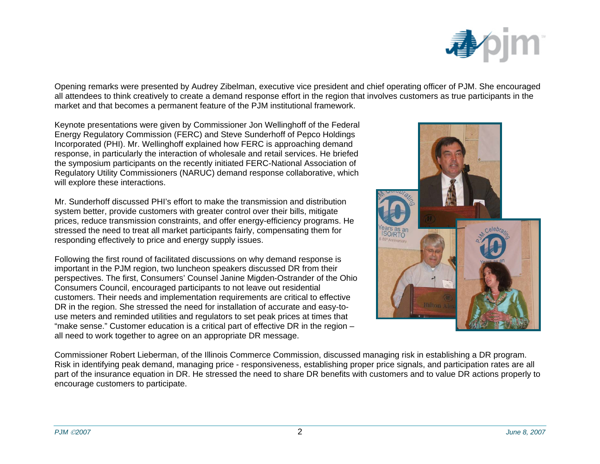

Opening remarks were presented by Audrey Zibelman, executive vice president and chief operating officer of PJM. She encouraged all attendees to think creatively to create a demand response effort in the region that involves customers as true participants in the market and that becomes a permanent feature of the PJM institutional framework.

Keynote presentations were given by Commissioner Jon Wellinghoff of the Federal Energy Regulatory Commission (FERC) and Steve Sunderhoff of Pepco Holdings Incorporated (PHI). Mr. Wellinghoff explained how FERC is approaching demand response, in particularly the interaction of wholesale and retail services. He briefed the symposium participants on the recently initiated FERC-National Association of Regulatory Utility Commissioners (NARUC) demand response collaborative, which will explore these interactions.

Mr. Sunderhoff discussed PHI's effort to make the transmission and distribution system better, provide customers with greater control over their bills, mitigate prices, reduce transmission constraints, and offer energy-efficiency programs. He stressed the need to treat all market participants fairly, compensating them for responding effectively to price and energy supply issues.

Following the first round of facilitated discussions on why demand response is important in the PJM region, two luncheon speakers discussed DR from their perspectives. The first, Consumers' Counsel Janine Migden-Ostrander of the Ohio Consumers Council, encouraged participants to not leave out residential customers. Their needs and implementation requirements are critical to effective DR in the region. She stressed the need for installation of accurate and easy-touse meters and reminded utilities and regulators to set peak prices at times that "make sense." Customer education is a critical part of effective DR in the region – all need to work together to agree on an appropriate DR message.



Commissioner Robert Lieberman, of the Illinois Commerce Commission, discussed managing risk in establishing a DR program. Risk in identifying peak demand, managing price - responsiveness, establishing proper price signals, and participation rates are all part of the insurance equation in DR. He stressed the need to share DR benefits with customers and to value DR actions properly to encourage customers to participate.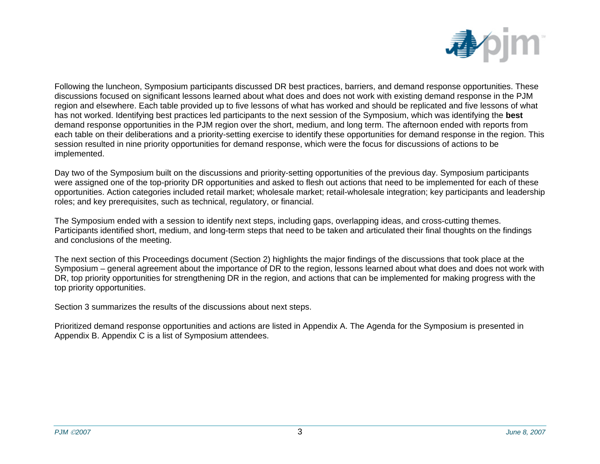

Following the luncheon, Symposium participants discussed DR best practices, barriers, and demand response opportunities. These discussions focused on significant lessons learned about what does and does not work with existing demand response in the PJM region and elsewhere. Each table provided up to five lessons of what has worked and should be replicated and five lessons of what has not worked. Identifying best practices led participants to the next session of the Symposium, which was identifying the **best**  demand response opportunities in the PJM region over the short, medium, and long term. The afternoon ended with reports from each table on their deliberations and a priority-setting exercise to identify these opportunities for demand response in the region. This session resulted in nine priority opportunities for demand response, which were the focus for discussions of actions to be implemented.

Day two of the Symposium built on the discussions and priority-setting opportunities of the previous day. Symposium participants were assigned one of the top-priority DR opportunities and asked to flesh out actions that need to be implemented for each of these opportunities. Action categories included retail market; wholesale market; retail-wholesale integration; key participants and leadership roles; and key prerequisites, such as technical, regulatory, or financial.

The Symposium ended with a session to identify next steps, including gaps, overlapping ideas, and cross-cutting themes. Participants identified short, medium, and long-term steps that need to be taken and articulated their final thoughts on the findings and conclusions of the meeting.

The next section of this Proceedings document (Section 2) highlights the major findings of the discussions that took place at the Symposium – general agreement about the importance of DR to the region, lessons learned about what does and does not work with DR, top priority opportunities for strengthening DR in the region, and actions that can be implemented for making progress with the top priority opportunities.

Section 3 summarizes the results of the discussions about next steps.

Prioritized demand response opportunities and actions are listed in Appendix A. The Agenda for the Symposium is presented in Appendix B. Appendix C is a list of Symposium attendees.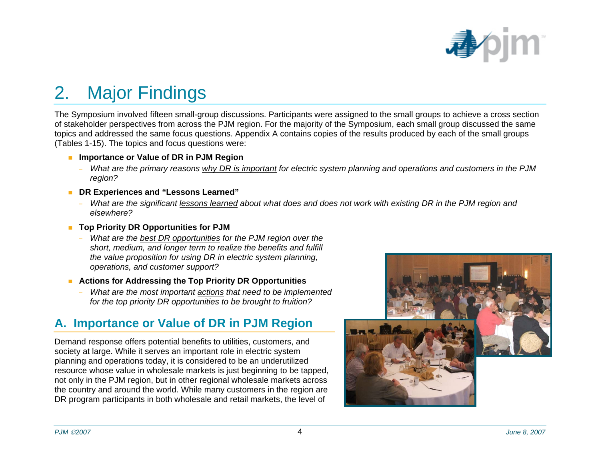

## <span id="page-9-0"></span>2. Major Findings

The Symposium involved fifteen small-group discussions. Participants were assigned to the small groups to achieve a cross section of stakeholder perspectives from across the PJM region. For the majority of the Symposium, each small group discussed the same topics and addressed the same focus questions. Appendix A contains copies of the results produced by each of the small groups (Tables 1-15). The topics and focus questions were:

- Importance or Value of DR in PJM Region
	- − *What are the primary reasons why DR is important for electric system planning and operations and customers in the PJM region?*
- **DR Experiences and "Lessons Learned"** 
	- − *What are the significant lessons learned about what does and does not work with existing DR in the PJM region and elsewhere?*
- **Top Priority DR Opportunities for PJM** 
	- *What are the best DR opportunities for the PJM region over the short, medium, and longer term to realize the benefits and fulfill the value proposition for using DR in electric system planning, operations, and customer support?*
- **Actions for Addressing the Top Priority DR Opportunities** 
	- − *What are the most important actions that need to be implemented for the top priority DR opportunities to be brought to fruition?*

#### **A. Importance or Value of DR in PJM Region**

Demand response offers potential benefits to utilities, customers, and society at large. While it serves an important role in electric system planning and operations today, it is considered to be an underutilized resource whose value in wholesale markets is just beginning to be tapped, not only in the PJM region, but in other regional wholesale markets across the country and around the world. While many customers in the region are DR program participants in both wholesale and retail markets, the level of

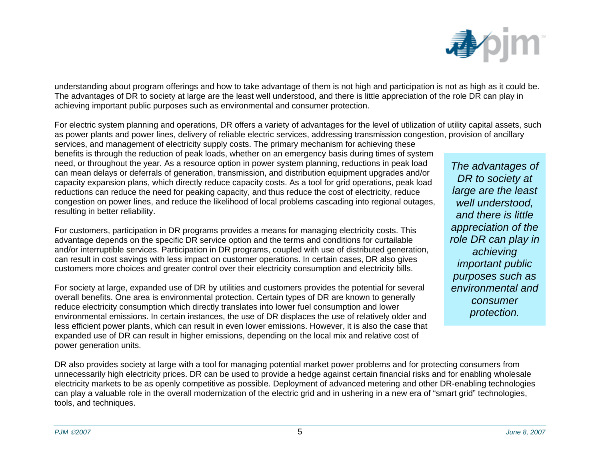

understanding about program offerings and how to take advantage of them is not high and participation is not as high as it could be. The advantages of DR to society at large are the least well understood, and there is little appreciation of the role DR can play in achieving important public purposes such as environmental and consumer protection.

For electric system planning and operations, DR offers a variety of advantages for the level of utilization of utility capital assets, such as power plants and power lines, delivery of reliable electric services, addressing transmission congestion, provision of ancillary

services, and management of electricity supply costs. The primary mechanism for achieving these benefits is through the reduction of peak loads, whether on an emergency basis during times of system need, or throughout the year. As a resource option in power system planning, reductions in peak load can mean delays or deferrals of generation, transmission, and distribution equipment upgrades and/or capacity expansion plans, which directly reduce capacity costs. As a tool for grid operations, peak load reductions can reduce the need for peaking capacity, and thus reduce the cost of electricity, reduce congestion on power lines, and reduce the likelihood of local problems cascading into regional outages, resulting in better reliability.

For customers, participation in DR programs provides a means for managing electricity costs. This advantage depends on the specific DR service option and the terms and conditions for curtailable and/or interruptible services. Participation in DR programs, coupled with use of distributed generation, can result in cost savings with less impact on customer operations. In certain cases, DR also gives customers more choices and greater control over their electricity consumption and electricity bills.

For society at large, expanded use of DR by utilities and customers provides the potential for several overall benefits. One area is environmental protection. Certain types of DR are known to generally reduce electricity consumption which directly translates into lower fuel consumption and lower environmental emissions. In certain instances, the use of DR displaces the use of relatively older and less efficient power plants, which can result in even lower emissions. However, it is also the case that expanded use of DR can result in higher emissions, depending on the local mix and relative cost of power generation units.

*The advantages of DR to society at large are the least well understood, and there is little appreciation of the role DR can play in achieving important public purposes such as environmental and consumer protection.* 

DR also provides society at large with a tool for managing potential market power problems and for protecting consumers from unnecessarily high electricity prices. DR can be used to provide a hedge against certain financial risks and for enabling wholesale electricity markets to be as openly competitive as possible. Deployment of advanced metering and other DR-enabling technologies can play a valuable role in the overall modernization of the electric grid and in ushering in a new era of "smart grid" technologies, tools, and techniques.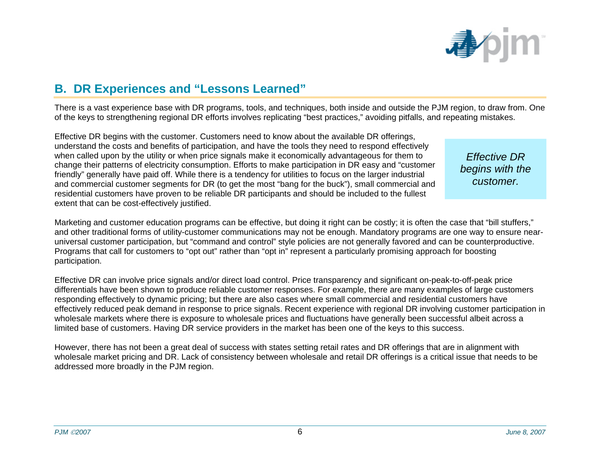

#### <span id="page-11-0"></span>**B. DR Experiences and "Lessons Learned"**

There is a vast experience base with DR programs, tools, and techniques, both inside and outside the PJM region, to draw from. One of the keys to strengthening regional DR efforts involves replicating "best practices," avoiding pitfalls, and repeating mistakes.

Effective DR begins with the customer. Customers need to know about the available DR offerings, understand the costs and benefits of participation, and have the tools they need to respond effectively when called upon by the utility or when price signals make it economically advantageous for them to change their patterns of electricity consumption. Efforts to make participation in DR easy and "customer friendly" generally have paid off. While there is a tendency for utilities to focus on the larger industrial and commercial customer segments for DR (to get the most "bang for the buck"), small commercial and residential customers have proven to be reliable DR participants and should be included to the fullest extent that can be cost-effectively justified.

*Effective DR begins with the customer.* 

Marketing and customer education programs can be effective, but doing it right can be costly; it is often the case that "bill stuffers," and other traditional forms of utility-customer communications may not be enough. Mandatory programs are one way to ensure nearuniversal customer participation, but "command and control" style policies are not generally favored and can be counterproductive. Programs that call for customers to "opt out" rather than "opt in" represent a particularly promising approach for boosting participation.

Effective DR can involve price signals and/or direct load control. Price transparency and significant on-peak-to-off-peak price differentials have been shown to produce reliable customer responses. For example, there are many examples of large customers responding effectively to dynamic pricing; but there are also cases where small commercial and residential customers have effectively reduced peak demand in response to price signals. Recent experience with regional DR involving customer participation in wholesale markets where there is exposure to wholesale prices and fluctuations have generally been successful albeit across a limited base of customers. Having DR service providers in the market has been one of the keys to this success.

However, there has not been a great deal of success with states setting retail rates and DR offerings that are in alignment with wholesale market pricing and DR. Lack of consistency between wholesale and retail DR offerings is a critical issue that needs to be addressed more broadly in the PJM region.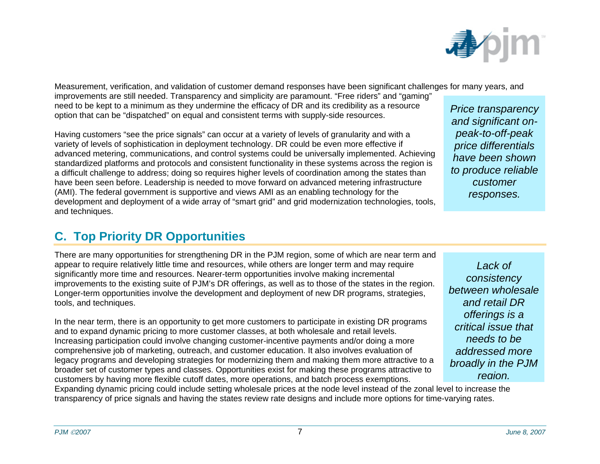

<span id="page-12-0"></span>Measurement, verification, and validation of customer demand responses have been significant challenges for many years, and improvements are still needed. Transparency and simplicity are paramount. "Free riders" and "gaming" need to be kept to a minimum as they undermine the efficacy of DR and its credibility as a resource need to be kept to a minimum as they undermine the efficacy of DR and its credibility as a resource<br>option that can be "dispatched" on equal and consistent terms with supply-side resources.<br>*and significant on-*

Having customers "see the price signals" can occur at a variety of levels of granularity and with a variety of levels of sophistication in deployment technology. DR could be even more effective if advanced metering, communications, and control systems could be universally implemented. Achieving standardized platforms and protocols and consistent functionality in these systems across the region is a difficult challenge to address; doing so requires higher levels of coordination among the states than have been seen before. Leadership is needed to move forward on advanced metering infrastructure (AMI). The federal government is supportive and views AMI as an enabling technology for the development and deployment of a wide array of "smart grid" and grid modernization technologies, tools, and techniques.

## *peak-to-off-peak price differentials have been shown to produce reliable customer responses.*

#### **C. Top Priority DR Opportunities**

There are many opportunities for strengthening DR in the PJM region, some of which are near term and appear to require relatively little time and resources, while others are longer term and may require significantly more time and resources. Nearer-term opportunities involve making incremental improvements to the existing suite of PJM's DR offerings, as well as to those of the states in the region. Longer-term opportunities involve the development and deployment of new DR programs, strategies, tools, and techniques.

In the near term, there is an opportunity to get more customers to participate in existing DR programs and to expand dynamic pricing to more customer classes, at both wholesale and retail levels. Increasing participation could involve changing customer-incentive payments and/or doing a more comprehensive job of marketing, outreach, and customer education. It also involves evaluation of legacy programs and developing strategies for modernizing them and making them more attractive to a broader set of customer types and classes. Opportunities exist for making these programs attractive to customers by having more flexible cutoff dates, more operations, and batch process exemptions.

*Lack of consistency between wholesaleand retail DR offerings is a critical issue that needs to be addressed more broadly in the PJM region.*

Expanding dynamic pricing could include setting wholesale prices at the node level instead of the zonal level to increase the transparency of price signals and having the states review rate designs and include more options for time-varying rates.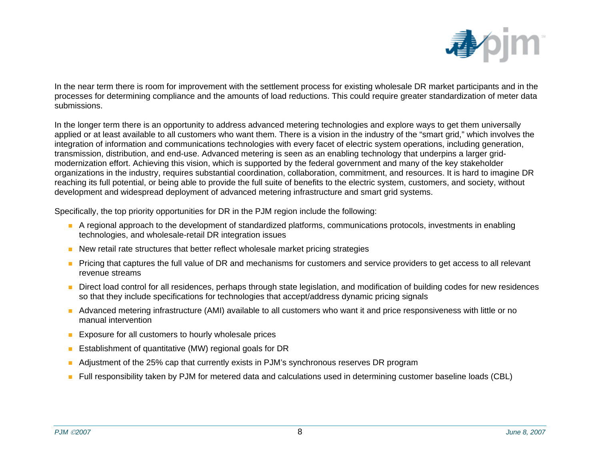

In the near term there is room for improvement with the settlement process for existing wholesale DR market participants and in the processes for determining compliance and the amounts of load reductions. This could require greater standardization of meter data submissions.

In the longer term there is an opportunity to address advanced metering technologies and explore ways to get them universally applied or at least available to all customers who want them. There is a vision in the industry of the "smart grid," which involves the integration of information and communications technologies with every facet of electric system operations, including generation, transmission, distribution, and end-use. Advanced metering is seen as an enabling technology that underpins a larger gridmodernization effort. Achieving this vision, which is supported by the federal government and many of the key stakeholder organizations in the industry, requires substantial coordination, collaboration, commitment, and resources. It is hard to imagine DR reaching its full potential, or being able to provide the full suite of benefits to the electric system, customers, and society, without development and widespread deployment of advanced metering infrastructure and smart grid systems.

Specifically, the top priority opportunities for DR in the PJM region include the following:

- A regional approach to the development of standardized platforms, communications protocols, investments in enabling technologies, and wholesale-retail DR integration issues
- **New retail rate structures that better reflect wholesale market pricing strategies**
- **Pricing that captures the full value of DR and mechanisms for customers and service providers to get access to all relevant** revenue streams
- Direct load control for all residences, perhaps through state legislation, and modification of building codes for new residences so that they include specifications for technologies that accept/address dynamic pricing signals
- Advanced metering infrastructure (AMI) available to all customers who want it and price responsiveness with little or no manual intervention
- **Exposure for all customers to hourly wholesale prices**
- $\mathcal{L}_{\mathcal{A}}$ Establishment of quantitative (MW) regional goals for DR
- $\blacksquare$ Adjustment of the 25% cap that currently exists in PJM's synchronous reserves DR program
- Full responsibility taken by PJM for metered data and calculations used in determining customer baseline loads (CBL)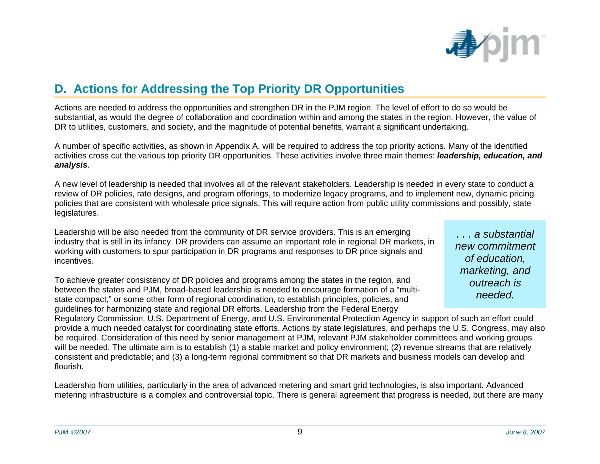

#### <span id="page-14-0"></span>**D. Actions for Addressing the Top Priority DR Opportunities**

Actions are needed to address the opportunities and strengthen DR in the PJM region. The level of effort to do so would be substantial, as would the degree of collaboration and coordination within and among the states in the region. However, the value of DR to utilities, customers, and society, and the magnitude of potential benefits, warrant a significant undertaking.

A number of specific activities, as shown in Appendix A, will be required to address the top priority actions. Many of the identified activities cross cut the various top priority DR opportunities. These activities involve three main themes: *leadership, education, and analysis*.

A new level of leadership is needed that involves all of the relevant stakeholders. Leadership is needed in every state to conduct a review of DR policies, rate designs, and program offerings, to modernize legacy programs, and to implement new, dynamic pricing policies that are consistent with wholesale price signals. This will require action from public utility commissions and possibly, state legislatures.

Leadership will be also needed from the community of DR service providers. This is an emerging industry that is still in its infancy. DR providers can assume an important role in regional DR markets, in working with customers to spur participation in DR programs and responses to DR price signals and incentives.

To achieve greater consistency of DR policies and programs among the states in the region, and between the states and PJM, broad-based leadership is needed to encourage formation of a "multistate compact," or some other form of regional coordination, to establish principles, policies, and guidelines for harmonizing state and regional DR efforts. Leadership from the Federal Energy

*. . . a substantial new commitment of education, marketing, and outreach is needed.* 

Regulatory Commission, U.S. Department of Energy, and U.S. Environmental Protection Agency in support of such an effort could provide a much needed catalyst for coordinating state efforts. Actions by state legislatures, and perhaps the U.S. Congress, may also be required. Consideration of this need by senior management at PJM, relevant PJM stakeholder committees and working groups will be needed. The ultimate aim is to establish (1) a stable market and policy environment; (2) revenue streams that are relatively consistent and predictable; and (3) a long-term regional commitment so that DR markets and business models can develop and flourish.

Leadership from utilities, particularly in the area of advanced metering and smart grid technologies, is also important. Advanced metering infrastructure is a complex and controversial topic. There is general agreement that progress is needed, but there are many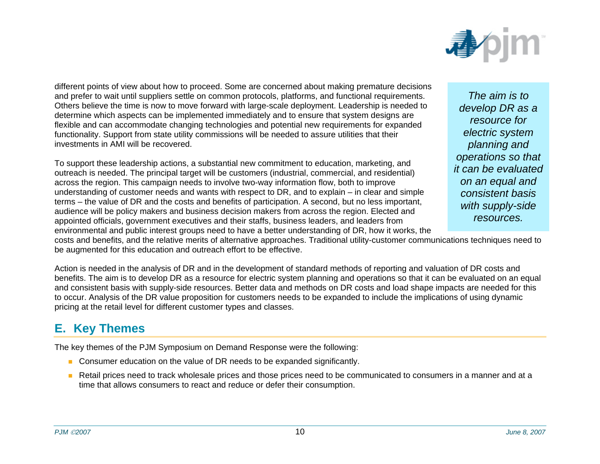

<span id="page-15-0"></span>different points of view about how to proceed. Some are concerned about making premature decisions and prefer to wait until suppliers settle on common protocols, platforms, and functional requirements. Others believe the time is now to move forward with large-scale deployment. Leadership is needed to determine which aspects can be implemented immediately and to ensure that system designs are flexible and can accommodate changing technologies and potential new requirements for expanded functionality. Support from state utility commissions will be needed to assure utilities that their investments in AMI will be recovered.

To support these leadership actions, a substantial new commitment to education, marketing, and outreach is needed. The principal target will be customers (industrial, commercial, and residential) across the region. This campaign needs to involve two-way information flow, both to improve understanding of customer needs and wants with respect to DR, and to explain – in clear and simple terms – the value of DR and the costs and benefits of participation. A second, but no less important, audience will be policy makers and business decision makers from across the region. Elected and appointed officials, government executives and their staffs, business leaders, and leaders from environmental and public interest groups need to have a better understanding of DR, how it works, the

*The aim is to develop DR as a resource for electric system planning and operations so that it can be evaluatedon an equal and consistent basis with supply-side resources.* 

costs and benefits, and the relative merits of alternative approaches. Traditional utility-customer communications techniques need to be augmented for this education and outreach effort to be effective.

Action is needed in the analysis of DR and in the development of standard methods of reporting and valuation of DR costs and benefits. The aim is to develop DR as a resource for electric system planning and operations so that it can be evaluated on an equal and consistent basis with supply-side resources. Better data and methods on DR costs and load shape impacts are needed for this to occur. Analysis of the DR value proposition for customers needs to be expanded to include the implications of using dynamic pricing at the retail level for different customer types and classes.

#### **E. Key Themes**

The key themes of the PJM Symposium on Demand Response were the following:

- **Consumer education on the value of DR needs to be expanded significantly.**
- Retail prices need to track wholesale prices and those prices need to be communicated to consumers in a manner and at a time that allows consumers to react and reduce or defer their consumption.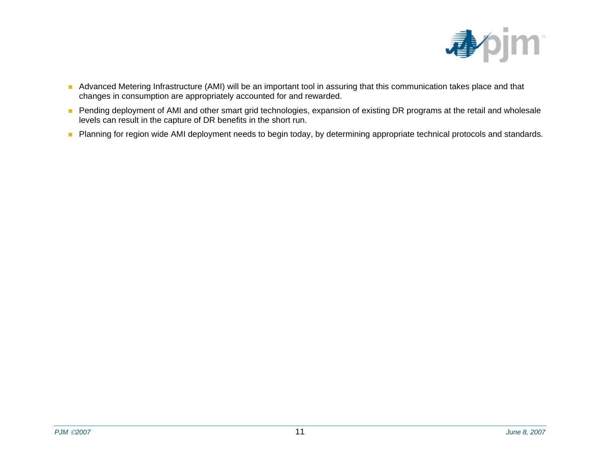

- Advanced Metering Infrastructure (AMI) will be an important tool in assuring that this communication takes place and that changes in consumption are appropriately accounted for and rewarded.
- **Pending deployment of AMI and other smart grid technologies, expansion of existing DR programs at the retail and wholesale** levels can result in the capture of DR benefits in the short run.
- **Planning for region wide AMI deployment needs to begin today, by determining appropriate technical protocols and standards.**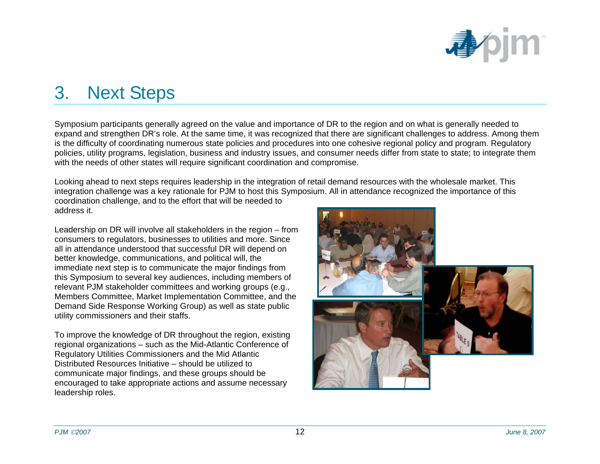

## <span id="page-17-0"></span>3. Next Steps

Symposium participants generally agreed on the value and importance of DR to the region and on what is generally needed to expand and strengthen DR's role. At the same time, it was recognized that there are significant challenges to address. Among them is the difficulty of coordinating numerous state policies and procedures into one cohesive regional policy and program. Regulatory policies, utility programs, legislation, business and industry issues, and consumer needs differ from state to state; to integrate them with the needs of other states will require significant coordination and compromise.

Looking ahead to next steps requires leadership in the integration of retail demand resources with the wholesale market. This integration challenge was a key rationale for PJM to host this Symposium. All in attendance recognized the importance of this coordination challenge, and to the effort that will be needed to

address it.

Leadership on DR will involve all stakeholders in the region – from consumers to regulators, businesses to utilities and more. Since all in attendance understood that successful DR will depend on better knowledge, communications, and political will, the immediate next step is to communicate the major findings from this Symposium to several key audiences, including members of relevant PJM stakeholder committees and working groups (e.g., Members Committee, Market Implementation Committee, and the Demand Side Response Working Group) as well as state public utility commissioners and their staffs.

To improve the knowledge of DR throughout the region, existing regional organizations – such as the Mid-Atlantic Conference of Regulatory Utilities Commissioners and the Mid Atlantic Distributed Resources Initiative – should be utilized to communicate major findings, and these groups should be encouraged to take appropriate actions and assume necessary leadership roles.

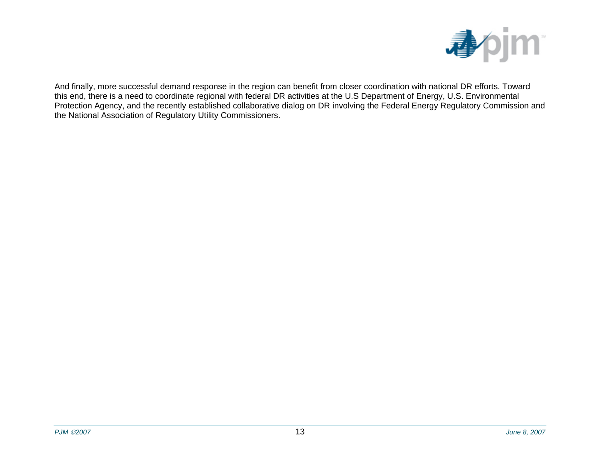

And finally, more successful demand response in the region can benefit from closer coordination with national DR efforts. Toward this end, there is a need to coordinate regional with federal DR activities at the U.S Department of Energy, U.S. Environmental Protection Agency, and the recently established collaborative dialog on DR involving the Federal Energy Regulatory Commission and the National Association of Regulatory Utility Commissioners.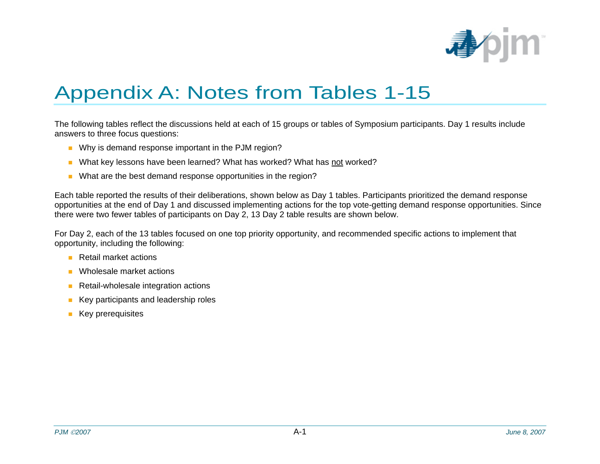

## Appendix A: Notes from Tables 1-15

The following tables reflect the discussions held at each of 15 groups or tables of Symposium participants. Day 1 results include answers to three focus questions:

- Why is demand response important in the PJM region?
- What key lessons have been learned? What has worked? What has <u>not</u> worked?
- What are the best demand response opportunities in the region?

Each table reported the results of their deliberations, shown below as Day 1 tables. Participants prioritized the demand response opportunities at the end of Day 1 and discussed implementing actions for the top vote-getting demand response opportunities. Since there were two fewer tables of participants on Day 2, 13 Day 2 table results are shown below.

For Day 2, each of the 13 tables focused on one top priority opportunity, and recommended specific actions to implement that opportunity, including the following:

- Retail market actions
- $\overline{\phantom{a}}$ Wholesale market actions
- п Retail-wholesale integration actions
- $\mathbb{R}^n$ Key participants and leadership roles
- **Key prerequisites**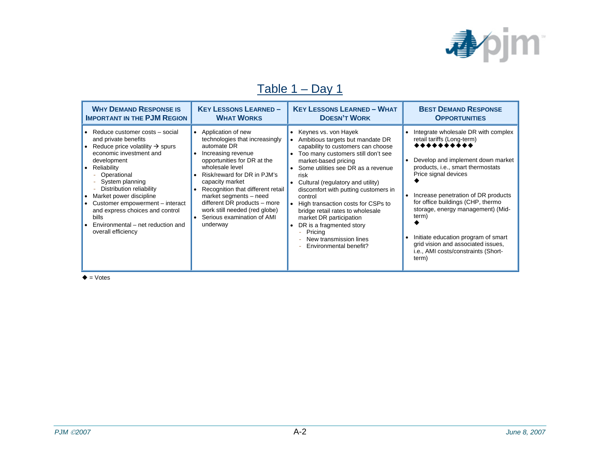

### Table 1 – Day 1

| <b>WHY DEMAND RESPONSE IS</b>                                                                                                                                                                                                                                                                                                                                                                                           | <b>KEY LESSONS LEARNED -</b>                                                                                                                                                                                                                                                                                                                                                                        | <b>KEY LESSONS LEARNED - WHAT</b>                                                                                                                                                                                                                                                                                                                                                                                                                                                                                | <b>BEST DEMAND RESPONSE</b>                                                                                                                                                                                                                                                                                                                                                                                                              |
|-------------------------------------------------------------------------------------------------------------------------------------------------------------------------------------------------------------------------------------------------------------------------------------------------------------------------------------------------------------------------------------------------------------------------|-----------------------------------------------------------------------------------------------------------------------------------------------------------------------------------------------------------------------------------------------------------------------------------------------------------------------------------------------------------------------------------------------------|------------------------------------------------------------------------------------------------------------------------------------------------------------------------------------------------------------------------------------------------------------------------------------------------------------------------------------------------------------------------------------------------------------------------------------------------------------------------------------------------------------------|------------------------------------------------------------------------------------------------------------------------------------------------------------------------------------------------------------------------------------------------------------------------------------------------------------------------------------------------------------------------------------------------------------------------------------------|
| <b>IMPORTANT IN THE PJM REGION</b>                                                                                                                                                                                                                                                                                                                                                                                      | <b>WHAT WORKS</b>                                                                                                                                                                                                                                                                                                                                                                                   | <b>DOESN'T WORK</b>                                                                                                                                                                                                                                                                                                                                                                                                                                                                                              | <b>OPPORTUNITIES</b>                                                                                                                                                                                                                                                                                                                                                                                                                     |
| • Reduce customer costs – social<br>and private benefits<br>• Reduce price volatility $\rightarrow$ spurs<br>economic investment and<br>development<br>• Reliability<br>Operational<br>System planning<br>÷<br>Distribution reliability<br>• Market power discipline<br>• Customer empowerment – interact<br>and express choices and control<br><b>bills</b><br>Environmental – net reduction and<br>overall efficiency | • Application of new<br>technologies that increasingly<br>automate DR<br>Increasing revenue<br>opportunities for DR at the<br>wholesale level<br>Risk/reward for DR in PJM's<br>$\bullet$<br>capacity market<br>Recognition that different retail<br>$\bullet$<br>market segments - need<br>different DR products - more<br>work still needed (red globe)<br>Serious examination of AMI<br>underway | • Keynes vs. von Hayek<br>Ambitious targets but mandate DR<br>capability to customers can choose<br>Too many customers still don't see<br>market-based pricing<br>Some utilities see DR as a revenue<br>risk<br>Cultural (regulatory and utility)<br>discomfort with putting customers in<br>control<br>High transaction costs for CSPs to<br>bridge retail rates to wholesale<br>market DR participation<br>DR is a fragmented story<br>Pricing<br>$\equiv$<br>New transmission lines<br>Environmental benefit? | Integrate wholesale DR with complex<br>retail tariffs (Long-term)<br>**********<br>Develop and implement down market<br>products, i.e., smart thermostats<br>Price signal devices<br>Increase penetration of DR products<br>for office buildings (CHP, thermo<br>storage, energy management) (Mid-<br>term)<br>Initiate education program of smart<br>grid vision and associated issues,<br>i.e., AMI costs/constraints (Short-<br>term) |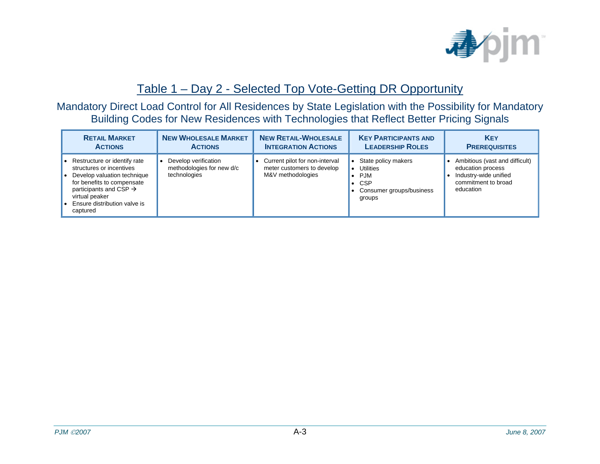

#### Table 1 – Day 2 - Selected Top Vote-Getting DR Opportunity

Mandatory Direct Load Control for All Residences by State Legislation with the Possibility for Mandatory Building Codes for New Residences with Technologies that Reflect Better Pricing Signals

| <b>RETAIL MARKET</b>                                                                                                                                                                                                      | <b>NEW WHOLESALE MARKET</b>                                       | <b>NEW RETAIL-WHOLESALE</b>                                                       | <b>KEY PARTICIPANTS AND</b>                                                                               | <b>KEY</b>                                                                                                       |
|---------------------------------------------------------------------------------------------------------------------------------------------------------------------------------------------------------------------------|-------------------------------------------------------------------|-----------------------------------------------------------------------------------|-----------------------------------------------------------------------------------------------------------|------------------------------------------------------------------------------------------------------------------|
| <b>ACTIONS</b>                                                                                                                                                                                                            | <b>ACTIONS</b>                                                    | <b>INTEGRATION ACTIONS</b>                                                        | <b>LEADERSHIP ROLES</b>                                                                                   | <b>PREREQUISITES</b>                                                                                             |
| Restructure or identify rate<br>structures or incentives<br>Develop valuation technique<br>for benefits to compensate<br>participants and CSP $\rightarrow$<br>virtual peaker<br>Ensure distribution valve is<br>captured | Develop verification<br>methodologies for new d/c<br>technologies | Current pilot for non-interval<br>meter customers to develop<br>M&V methodologies | State policy makers<br><b>Utilities</b><br><b>PJM</b><br><b>CSP</b><br>Consumer groups/business<br>groups | Ambitious (vast and difficult)<br>education process<br>Industry-wide unified<br>commitment to broad<br>education |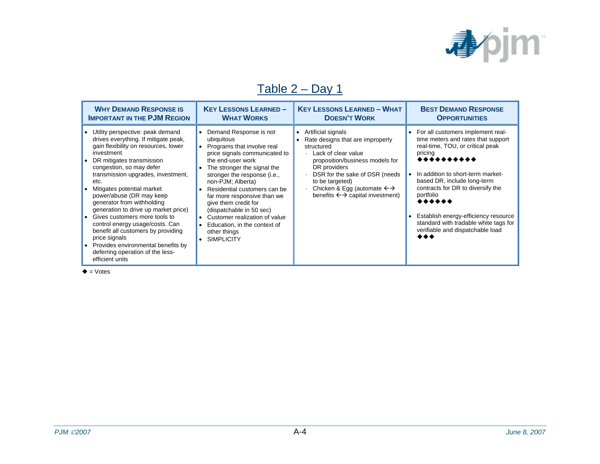

## Table 2 – Day 1

| <b>WHY DEMAND RESPONSE IS</b><br><b>IMPORTANT IN THE PJM REGION</b>                                                                                                                                                                                                                                                                                                                                                                                                                                                                                                                                                                  | <b>KEY LESSONS LEARNED-</b><br><b>WHAT WORKS</b>                                                                                                                                                                                                                                                                                                                                                                                                         | <b>KEY LESSONS LEARNED - WHAT</b><br><b>DOESN'T WORK</b>                                                                                                                                                                                                                                                   | <b>BEST DEMAND RESPONSE</b><br><b>OPPORTUNITIES</b>                                                                                                                                                                                                                                                                                                                                              |
|--------------------------------------------------------------------------------------------------------------------------------------------------------------------------------------------------------------------------------------------------------------------------------------------------------------------------------------------------------------------------------------------------------------------------------------------------------------------------------------------------------------------------------------------------------------------------------------------------------------------------------------|----------------------------------------------------------------------------------------------------------------------------------------------------------------------------------------------------------------------------------------------------------------------------------------------------------------------------------------------------------------------------------------------------------------------------------------------------------|------------------------------------------------------------------------------------------------------------------------------------------------------------------------------------------------------------------------------------------------------------------------------------------------------------|--------------------------------------------------------------------------------------------------------------------------------------------------------------------------------------------------------------------------------------------------------------------------------------------------------------------------------------------------------------------------------------------------|
| Utility perspective: peak demand<br>$\bullet$<br>drives everything. If mitigate peak,<br>gain flexibility on resources, lower<br>investment<br>DR mitigates transmission<br>congestion, so may defer<br>transmission upgrades, investment,<br>etc.<br>Mitigates potential market<br>power/abuse (DR may keep<br>generator from withholding<br>generation to drive up market price)<br>Gives customers more tools to<br>$\bullet$<br>control energy usage/costs. Can<br>benefit all customers by providing<br>price signals<br>Provides environmental benefits by<br>$\bullet$<br>deferring operation of the less-<br>efficient units | • Demand Response is not<br>ubiquitous<br>• Programs that involve real<br>price signals communicated to<br>the end-user work<br>The stronger the signal the<br>stronger the response (i.e.,<br>non-PJM; Alberta)<br>Residential customers can be<br>far more responsive than we<br>give them credit for<br>(dispatchable in 50 sec)<br>• Customer realization of value<br>Education, in the context of<br>other things<br><b>SIMPLICITY</b><br>$\bullet$ | Artificial signals<br>$\bullet$<br>Rate designs that are improperly<br>structured<br>Lack of clear value<br>proposition/business models for<br>DR providers<br>DSR for the sake of DSR (needs<br>to be targeted)<br>Chicken & Egg (automate $\leftrightarrow$<br>benefits $\leftarrow$ capital investment) | For all customers implement real-<br>time meters and rates that support<br>real-time, TOU, or critical peak<br>pricing<br>**********<br>In addition to short-term market-<br>based DR, include long-term<br>contracts for DR to diversify the<br>portfolio<br>******<br>Establish energy-efficiency resource<br>standard with tradable white tags for<br>verifiable and dispatchable load<br>◆◆◆ |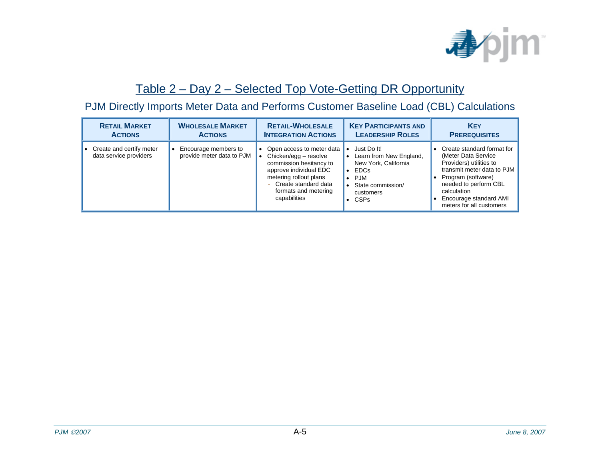

#### Table 2 – Day 2 – Selected Top Vote-Getting DR Opportunity

#### PJM Directly Imports Meter Data and Performs Customer Baseline Load (CBL) Calculations

| <b>RETAIL MARKET</b>                               | <b>WHOLESALE MARKET</b>                           | <b>RETAIL-WHOLESALE</b>                                                                                                                                                                             | <b>KEY PARTICIPANTS AND</b>                                                                                                    | <b>KEY</b>                                                                                                                                                                                                                     |
|----------------------------------------------------|---------------------------------------------------|-----------------------------------------------------------------------------------------------------------------------------------------------------------------------------------------------------|--------------------------------------------------------------------------------------------------------------------------------|--------------------------------------------------------------------------------------------------------------------------------------------------------------------------------------------------------------------------------|
| <b>ACTIONS</b>                                     | <b>ACTIONS</b>                                    | <b>INTEGRATION ACTIONS</b>                                                                                                                                                                          | <b>LEADERSHIP ROLES</b>                                                                                                        | <b>PREREQUISITES</b>                                                                                                                                                                                                           |
| Create and certify meter<br>data service providers | Encourage members to<br>provide meter data to PJM | • Open access to meter data<br>Chicken/egg - resolve<br>commission hesitancy to<br>approve individual EDC<br>metering rollout plans<br>Create standard data<br>formats and metering<br>capabilities | Just Do It!<br>Learn from New England,<br>New York, California<br><b>EDCs</b><br>PJM<br>State commission/<br>customers<br>CSPs | Create standard format for<br>(Meter Data Service<br>Providers) utilities to<br>transmit meter data to PJM<br>Program (software)<br>needed to perform CBL<br>calculation<br>Encourage standard AMI<br>meters for all customers |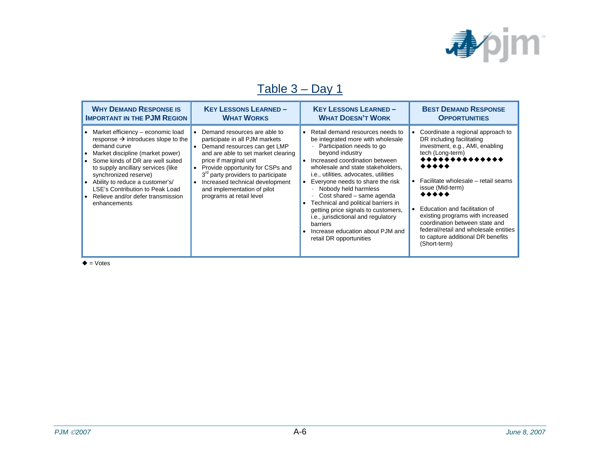

### Table 3 – Day 1

| <b>WHY DEMAND RESPONSE IS</b>                                                                                                                                                                                                                                                                                                                                                 | <b>KEY LESSONS LEARNED-</b>                                                                                                                                                                                                                                                                                                                         | <b>KEY LESSONS LEARNED-</b>                                                                                                                                                                                                                                                                                                                                                                                                                                                                                                              | <b>BEST DEMAND RESPONSE</b>                                                                                                                                                                                                                                                                                                                                                                                               |
|-------------------------------------------------------------------------------------------------------------------------------------------------------------------------------------------------------------------------------------------------------------------------------------------------------------------------------------------------------------------------------|-----------------------------------------------------------------------------------------------------------------------------------------------------------------------------------------------------------------------------------------------------------------------------------------------------------------------------------------------------|------------------------------------------------------------------------------------------------------------------------------------------------------------------------------------------------------------------------------------------------------------------------------------------------------------------------------------------------------------------------------------------------------------------------------------------------------------------------------------------------------------------------------------------|---------------------------------------------------------------------------------------------------------------------------------------------------------------------------------------------------------------------------------------------------------------------------------------------------------------------------------------------------------------------------------------------------------------------------|
| <b>IMPORTANT IN THE PJM REGION</b>                                                                                                                                                                                                                                                                                                                                            | <b>WHAT WORKS</b>                                                                                                                                                                                                                                                                                                                                   | <b>WHAT DOESN'T WORK</b>                                                                                                                                                                                                                                                                                                                                                                                                                                                                                                                 | <b>OPPORTUNITIES</b>                                                                                                                                                                                                                                                                                                                                                                                                      |
| • Market efficiency – economic load<br>response $\rightarrow$ introduces slope to the<br>demand curve<br>Market discipline (market power)<br>• Some kinds of DR are well suited<br>to supply ancillary services (like<br>synchronized reserve)<br>• Ability to reduce a customer's/<br>LSE's Contribution to Peak Load<br>• Relieve and/or defer transmission<br>enhancements | Demand resources are able to<br>participate in all PJM markets<br>Demand resources can get LMP<br>and are able to set market clearing<br>price if marginal unit<br>Provide opportunity for CSPs and<br>3 <sup>rd</sup> party providers to participate<br>Increased technical development<br>and implementation of pilot<br>programs at retail level | • Retail demand resources needs to<br>be integrated more with wholesale<br>Participation needs to go<br>beyond industry<br>Increased coordination between<br>wholesale and state stakeholders,<br>i.e., utilities, advocates, utilities<br>Everyone needs to share the risk<br>- Nobody held harmless<br>Cost shared – same agenda<br>÷.<br>Technical and political barriers in<br>getting price signals to customers,<br>i.e., jurisdictional and regulatory<br>barriers<br>Increase education about PJM and<br>retail DR opportunities | Coordinate a regional approach to<br>DR including facilitating<br>investment, e.g., AMI, enabling<br>tech (Long-term)<br>**************<br>*****<br>Facilitate wholesale - retail seams<br>issue (Mid-term)<br>*****<br>Education and facilitation of<br>existing programs with increased<br>coordination between state and<br>federal/retail and wholesale entities<br>to capture additional DR benefits<br>(Short-term) |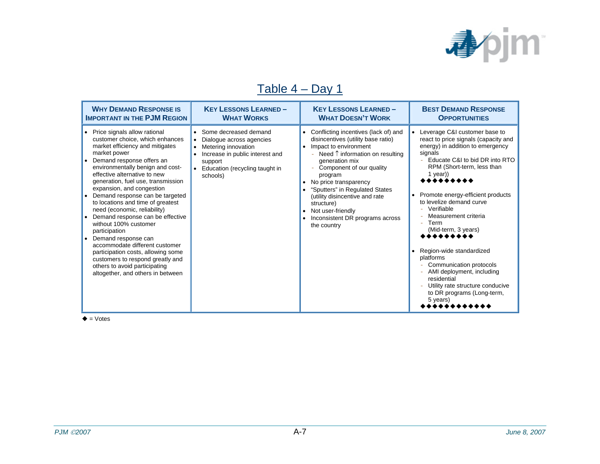

### Table 4 – Day 1

| <b>WHY DEMAND RESPONSE IS</b>                                                                                                                                                                                                                                                                                                                                                                                                                                                                                                                                                                                                                                                             | <b>KEY LESSONS LEARNED-</b>                                                                                                                                                       | <b>KEY LESSONS LEARNED-</b>                                                                                                                                                                                                                                                                                                                                                                    | <b>BEST DEMAND RESPONSE</b>                                                                                                                                                                                                                                                                                                                                                                                                                                                                                                                                        |
|-------------------------------------------------------------------------------------------------------------------------------------------------------------------------------------------------------------------------------------------------------------------------------------------------------------------------------------------------------------------------------------------------------------------------------------------------------------------------------------------------------------------------------------------------------------------------------------------------------------------------------------------------------------------------------------------|-----------------------------------------------------------------------------------------------------------------------------------------------------------------------------------|------------------------------------------------------------------------------------------------------------------------------------------------------------------------------------------------------------------------------------------------------------------------------------------------------------------------------------------------------------------------------------------------|--------------------------------------------------------------------------------------------------------------------------------------------------------------------------------------------------------------------------------------------------------------------------------------------------------------------------------------------------------------------------------------------------------------------------------------------------------------------------------------------------------------------------------------------------------------------|
| <b>IMPORTANT IN THE PJM REGION</b>                                                                                                                                                                                                                                                                                                                                                                                                                                                                                                                                                                                                                                                        | <b>WHAT WORKS</b>                                                                                                                                                                 | <b>WHAT DOESN'T WORK</b>                                                                                                                                                                                                                                                                                                                                                                       | <b>OPPORTUNITIES</b>                                                                                                                                                                                                                                                                                                                                                                                                                                                                                                                                               |
| • Price signals allow rational<br>customer choice, which enhances<br>market efficiency and mitigates<br>market power<br>Demand response offers an<br>environmentally benign and cost-<br>effective alternative to new<br>generation, fuel use, transmission<br>expansion, and congestion<br>Demand response can be targeted<br>to locations and time of greatest<br>need (economic, reliability)<br>Demand response can be effective<br>without 100% customer<br>participation<br>• Demand response can<br>accommodate different customer<br>participation costs, allowing some<br>customers to respond greatly and<br>others to avoid participating<br>altogether, and others in between | Some decreased demand<br>Dialogue across agencies<br>$\bullet$<br>Metering innovation<br>Increase in public interest and<br>support<br>Education (recycling taught in<br>schools) | Conflicting incentives (lack of) and<br>disincentives (utility base ratio)<br>Impact to environment<br>$\bullet$<br>Need ↑ information on resulting<br>generation mix<br>Component of our quality<br>program<br>No price transparency<br>"Sputters" in Regulated States<br>(utility disincentive and rate<br>structure)<br>Not user-friendly<br>Inconsistent DR programs across<br>the country | • Leverage C&I customer base to<br>react to price signals (capacity and<br>energy) in addition to emergency<br>signals<br>Educate C&I to bid DR into RTO<br>$\sim$<br>RPM (Short-term, less than<br>1 year))<br>Promote energy-efficient products<br>to levelize demand curve<br>Verifiable<br>Measurement criteria<br>Term<br>$\equiv$<br>(Mid-term, 3 years)<br><br>• Region-wide standardized<br>platforms<br>Communication protocols<br>AMI deployment, including<br>residential<br>Utility rate structure conducive<br>to DR programs (Long-term,<br>5 years) |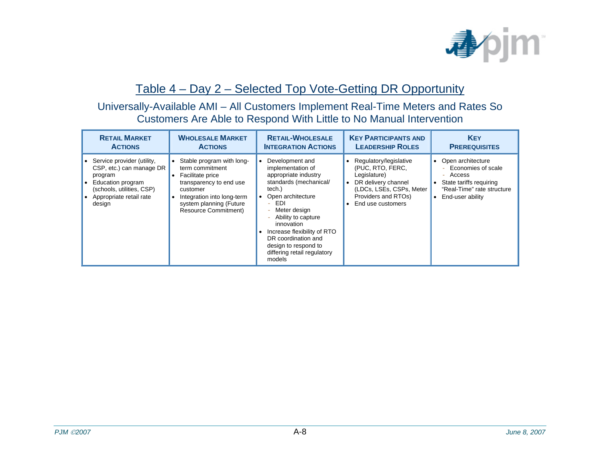

#### Table 4 – Day 2 – Selected Top Vote-Getting DR Opportunity

#### Universally-Available AMI – All Customers Implement Real-Time Meters and Rates So Customers Are Able to Respond With Little to No Manual Intervention

| <b>RETAIL MARKET</b>                                                                                                                                       | <b>WHOLESALE MARKET</b>                                                                                                                                                                         | <b>RETAIL-WHOLESALE</b>                                                                                                                                                                                                                                                                                             | <b>KEY PARTICIPANTS AND</b>                                                                                                                               | <b>KEY</b>                                                                                                                                        |
|------------------------------------------------------------------------------------------------------------------------------------------------------------|-------------------------------------------------------------------------------------------------------------------------------------------------------------------------------------------------|---------------------------------------------------------------------------------------------------------------------------------------------------------------------------------------------------------------------------------------------------------------------------------------------------------------------|-----------------------------------------------------------------------------------------------------------------------------------------------------------|---------------------------------------------------------------------------------------------------------------------------------------------------|
| <b>ACTIONS</b>                                                                                                                                             | <b>ACTIONS</b>                                                                                                                                                                                  | <b>INTEGRATION ACTIONS</b>                                                                                                                                                                                                                                                                                          | <b>LEADERSHIP ROLES</b>                                                                                                                                   | <b>PREREQUISITES</b>                                                                                                                              |
| • Service provider (utility,<br>CSP, etc.) can manage DR<br>program<br>Education program<br>(schools, utilities, CSP)<br>Appropriate retail rate<br>design | Stable program with long-<br>term commitment<br>Facilitate price<br>transparency to end use<br>customer<br>Integration into long-term<br>system planning (Future<br><b>Resource Commitment)</b> | Development and<br>implementation of<br>appropriate industry<br>standards (mechanical/<br>tech.)<br>Open architecture<br>EDI<br>$\equiv$<br>Meter design<br>Ability to capture<br>innovation<br>Increase flexibility of RTO<br>DR coordination and<br>design to respond to<br>differing retail regulatory<br>models | Regulatory/legislative<br>(PUC, RTO, FERC,<br>Legislature)<br>DR delivery channel<br>(LDCs, LSEs, CSPs, Meter<br>Providers and RTOs)<br>End use customers | • Open architecture<br>- Economies of scale<br>- Access<br>State tariffs requiring<br>"Real-Time" rate structure<br>End-user ability<br>$\bullet$ |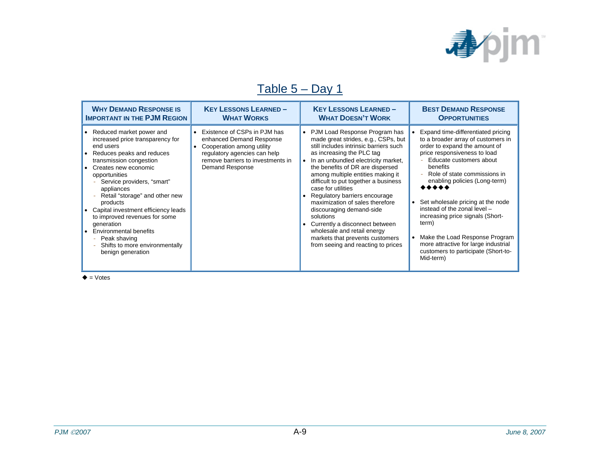

### Table 5 – Day 1

| <b>WHY DEMAND RESPONSE IS</b>                                                                                                                                                                                                                                                                                                                                                                                                                                                  | <b>KEY LESSONS LEARNED-</b>                                                                                                                                                   | <b>KEY LESSONS LEARNED-</b>                                                                                                                                                                                                                                                                                                                                                                                                                                                                                                                                                        | <b>BEST DEMAND RESPONSE</b>                                                                                                                                                                                                                                                                                                                                                                                                                                                                                    |
|--------------------------------------------------------------------------------------------------------------------------------------------------------------------------------------------------------------------------------------------------------------------------------------------------------------------------------------------------------------------------------------------------------------------------------------------------------------------------------|-------------------------------------------------------------------------------------------------------------------------------------------------------------------------------|------------------------------------------------------------------------------------------------------------------------------------------------------------------------------------------------------------------------------------------------------------------------------------------------------------------------------------------------------------------------------------------------------------------------------------------------------------------------------------------------------------------------------------------------------------------------------------|----------------------------------------------------------------------------------------------------------------------------------------------------------------------------------------------------------------------------------------------------------------------------------------------------------------------------------------------------------------------------------------------------------------------------------------------------------------------------------------------------------------|
| <b>IMPORTANT IN THE PJM REGION</b>                                                                                                                                                                                                                                                                                                                                                                                                                                             | <b>WHAT WORKS</b>                                                                                                                                                             | <b>WHAT DOESN'T WORK</b>                                                                                                                                                                                                                                                                                                                                                                                                                                                                                                                                                           | <b>OPPORTUNITIES</b>                                                                                                                                                                                                                                                                                                                                                                                                                                                                                           |
| • Reduced market power and<br>increased price transparency for<br>end users<br>Reduces peaks and reduces<br>transmission congestion<br>Creates new economic<br>opportunities<br>Service providers, "smart"<br>appliances<br>Retail "storage" and other new<br>÷<br>products<br>Capital investment efficiency leads<br>to improved revenues for some<br>generation<br><b>Environmental benefits</b><br>Peak shaving<br>÷<br>Shifts to more environmentally<br>benign generation | Existence of CSPs in PJM has<br>enhanced Demand Response<br>Cooperation among utility<br>regulatory agencies can help<br>remove barriers to investments in<br>Demand Response | • PJM Load Response Program has<br>made great strides, e.g., CSPs, but<br>still includes intrinsic barriers such<br>as increasing the PLC tag<br>In an unbundled electricity market,<br>the benefits of DR are dispersed<br>among multiple entities making it<br>difficult to put together a business<br>case for utilities<br>Regulatory barriers encourage<br>maximization of sales therefore<br>discouraging demand-side<br>solutions<br>Currently a disconnect between<br>wholesale and retail energy<br>markets that prevents customers<br>from seeing and reacting to prices | Expand time-differentiated pricing<br>to a broader array of customers in<br>order to expand the amount of<br>price responsiveness to load<br>Educate customers about<br>benefits<br>Role of state commissions in<br>enabling policies (Long-term)<br>Set wholesale pricing at the node<br>$\bullet$<br>instead of the zonal level -<br>increasing price signals (Short-<br>term)<br>Make the Load Response Program<br>more attractive for large industrial<br>customers to participate (Short-to-<br>Mid-term) |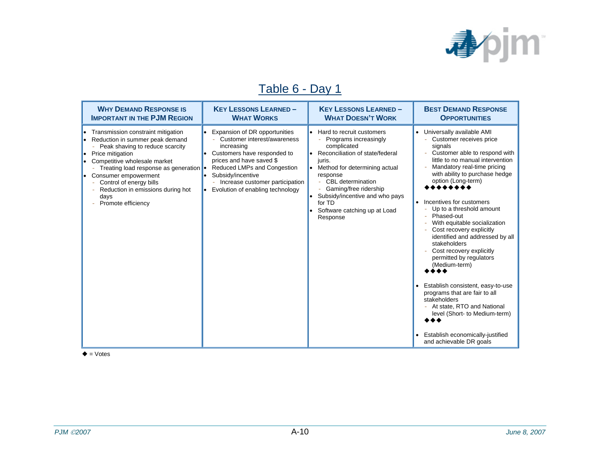

### Table 6 - Day 1

| <b>WHY DEMAND RESPONSE IS</b>                                                                                                                                                                                                                                                                                                                                | <b>KEY LESSONS LEARNED-</b>                                                                                                                                                                                                                                              | <b>KEY LESSONS LEARNED-</b>                                                                                                                                                                                                                                                                                      | <b>BEST DEMAND RESPONSE</b>                                                                                                                                                                                                                                                                                                                                                                                                                                                                                                                                                                                                                                                                                                 |
|--------------------------------------------------------------------------------------------------------------------------------------------------------------------------------------------------------------------------------------------------------------------------------------------------------------------------------------------------------------|--------------------------------------------------------------------------------------------------------------------------------------------------------------------------------------------------------------------------------------------------------------------------|------------------------------------------------------------------------------------------------------------------------------------------------------------------------------------------------------------------------------------------------------------------------------------------------------------------|-----------------------------------------------------------------------------------------------------------------------------------------------------------------------------------------------------------------------------------------------------------------------------------------------------------------------------------------------------------------------------------------------------------------------------------------------------------------------------------------------------------------------------------------------------------------------------------------------------------------------------------------------------------------------------------------------------------------------------|
| <b>IMPORTANT IN THE PJM REGION</b>                                                                                                                                                                                                                                                                                                                           | <b>WHAT WORKS</b>                                                                                                                                                                                                                                                        | <b>WHAT DOESN'T WORK</b>                                                                                                                                                                                                                                                                                         | <b>OPPORTUNITIES</b>                                                                                                                                                                                                                                                                                                                                                                                                                                                                                                                                                                                                                                                                                                        |
| Transmission constraint mitigation<br>• Reduction in summer peak demand<br>Peak shaving to reduce scarcity<br>$\overline{\phantom{a}}$<br>Price mitigation<br>Competitive wholesale market<br>Treating load response as generation •<br>• Consumer empowerment<br>Control of energy bills<br>Reduction in emissions during hot<br>days<br>Promote efficiency | Expansion of DR opportunities<br>Customer interest/awareness<br>increasing<br>Customers have responded to<br>prices and have saved \$<br>Reduced LMPs and Congestion<br>Subsidy/incentive<br>- Increase customer participation<br>Evolution of enabling technology<br>l. | Hard to recruit customers<br>$\bullet$<br>Programs increasingly<br>complicated<br>Reconciliation of state/federal<br>juris.<br>Method for determining actual<br>response<br>- CBL determination<br>Gaming/free ridership<br>Subsidy/incentive and who pays<br>for TD<br>Software catching up at Load<br>Response | Universally available AMI<br>Customer receives price<br>signals<br>Customer able to respond with<br>little to no manual intervention<br>Mandatory real-time pricing<br>with ability to purchase hedge<br>option (Long-term)<br>Incentives for customers<br>$\bullet$<br>Up to a threshold amount<br>Phased-out<br>With equitable socialization<br>Cost recovery explicitly<br>identified and addressed by all<br>stakeholders<br>Cost recovery explicitly<br>permitted by regulators<br>(Medium-term)<br>Establish consistent, easy-to-use<br>programs that are fair to all<br>stakeholders<br>- At state, RTO and National<br>level (Short- to Medium-term)<br>Establish economically-justified<br>and achievable DR goals |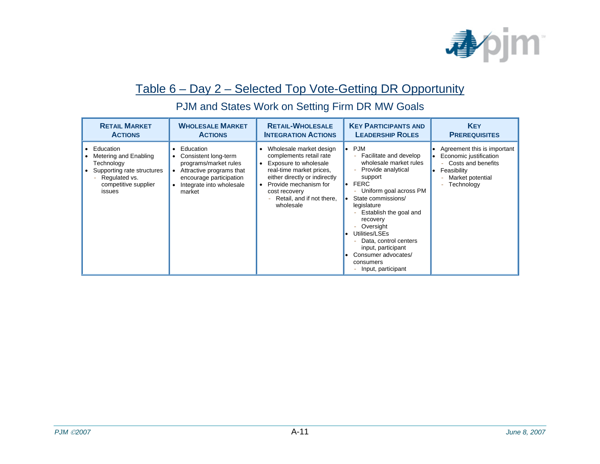

#### Table 6 – Day 2 – Selected Top Vote-Getting DR Opportunity

| <b>RETAIL MARKET</b>                                                                                                              | <b>WHOLESALE MARKET</b>                                                                                                                                              | <b>RETAIL-WHOLESALE</b>                                                                                                                                                                                                                                             | <b>KEY PARTICIPANTS AND</b>                                                                                                                                                                                                                                                                                                                                                                                                 | <b>KEY</b>                                                                                                                                     |
|-----------------------------------------------------------------------------------------------------------------------------------|----------------------------------------------------------------------------------------------------------------------------------------------------------------------|---------------------------------------------------------------------------------------------------------------------------------------------------------------------------------------------------------------------------------------------------------------------|-----------------------------------------------------------------------------------------------------------------------------------------------------------------------------------------------------------------------------------------------------------------------------------------------------------------------------------------------------------------------------------------------------------------------------|------------------------------------------------------------------------------------------------------------------------------------------------|
| <b>ACTIONS</b>                                                                                                                    | <b>ACTIONS</b>                                                                                                                                                       | <b>INTEGRATION ACTIONS</b>                                                                                                                                                                                                                                          | <b>LEADERSHIP ROLES</b>                                                                                                                                                                                                                                                                                                                                                                                                     | <b>PREREQUISITES</b>                                                                                                                           |
| Education<br>Metering and Enabling<br>Technology<br>Supporting rate structures<br>Regulated vs.<br>competitive supplier<br>issues | Education<br>$\bullet$<br>Consistent long-term<br>programs/market rules<br>Attractive programs that<br>encourage participation<br>Integrate into wholesale<br>market | Wholesale market design<br>$\bullet$<br>complements retail rate<br>Exposure to wholesale<br>$\bullet$<br>real-time market prices,<br>either directly or indirectly<br>Provide mechanism for<br>$\bullet$<br>cost recovery<br>Retail, and if not there,<br>wholesale | <b>PJM</b><br>$\bullet$<br>Facilitate and develop<br>wholesale market rules<br>Provide analytical<br>support<br><b>FERC</b><br>$\bullet$<br>Uniform goal across PM<br>-<br>State commissions/<br>legislature<br>Establish the goal and<br>۰<br>recovery<br>Oversight<br>$\overline{\phantom{a}}$<br>Utilities/LSEs<br>Data, control centers<br>input, participant<br>Consumer advocates/<br>consumers<br>Input, participant | Agreement this is important<br>Economic justification<br>Costs and benefits<br>Feasibility<br>$\bullet$<br>Market potential<br>Technology<br>- |

### PJM and States Work on Setting Firm DR MW Goals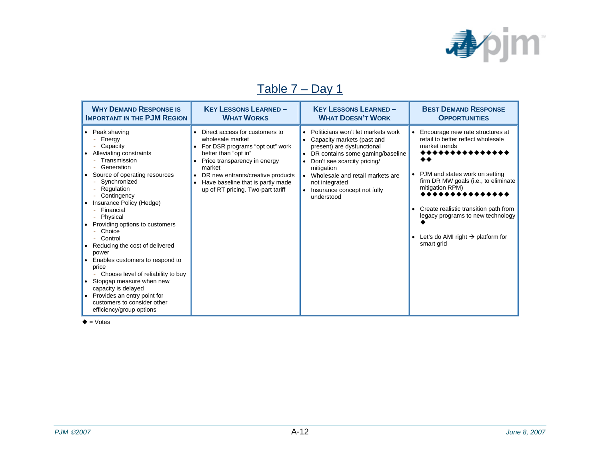

### Table 7 – Day 1

| <b>WHY DEMAND RESPONSE IS</b>                                                                                                                                                                                                                                                                                                                                                                                                                                                                                                                                                    | <b>KEY LESSONS LEARNED-</b>                                                                                                                                                                                                                                            | <b>KEY LESSONS LEARNED-</b>                                                                                                                                                                                                                                                                                                            | <b>BEST DEMAND RESPONSE</b>                                                                                                                                                                                                                                                                                                                                           |
|----------------------------------------------------------------------------------------------------------------------------------------------------------------------------------------------------------------------------------------------------------------------------------------------------------------------------------------------------------------------------------------------------------------------------------------------------------------------------------------------------------------------------------------------------------------------------------|------------------------------------------------------------------------------------------------------------------------------------------------------------------------------------------------------------------------------------------------------------------------|----------------------------------------------------------------------------------------------------------------------------------------------------------------------------------------------------------------------------------------------------------------------------------------------------------------------------------------|-----------------------------------------------------------------------------------------------------------------------------------------------------------------------------------------------------------------------------------------------------------------------------------------------------------------------------------------------------------------------|
| <b>IMPORTANT IN THE PJM REGION</b>                                                                                                                                                                                                                                                                                                                                                                                                                                                                                                                                               | <b>WHAT WORKS</b>                                                                                                                                                                                                                                                      | <b>WHAT DOESN'T WORK</b>                                                                                                                                                                                                                                                                                                               | <b>OPPORTUNITIES</b>                                                                                                                                                                                                                                                                                                                                                  |
| • Peak shaving<br>Energy<br>Capacity<br>Alleviating constraints<br>Transmission<br>Generation<br>Source of operating resources<br>Synchronized<br>Regulation<br>Contingency<br>Insurance Policy (Hedge)<br>Financial<br>Physical<br>Providing options to customers<br>Choice<br>Control<br>Reducing the cost of delivered<br>power<br>Enables customers to respond to<br>price<br>Choose level of reliability to buy<br>Stopgap measure when new<br>$\bullet$<br>capacity is delayed<br>• Provides an entry point for<br>customers to consider other<br>efficiency/group options | Direct access for customers to<br>wholesale market<br>For DSR programs "opt out" work<br>better than "opt in"<br>Price transparency in energy<br>market<br>DR new entrants/creative products<br>Have baseline that is partly made<br>up of RT pricing. Two-part tariff | Politicians won't let markets work<br>$\bullet$<br>Capacity markets (past and<br>present) are dysfunctional<br>DR contains some gaming/baseline<br>$\bullet$<br>Don't see scarcity pricing/<br>mitigation<br>Wholesale and retail markets are<br>$\bullet$<br>not integrated<br>Insurance concept not fully<br>$\bullet$<br>understood | Encourage new rate structures at<br>retail to better reflect wholesale<br>market trends<br>*************<br>◆◆<br>PJM and states work on setting<br>firm DR MW goals (i.e., to eliminate<br>mitigation RPM)<br>Create realistic transition path from<br>legacy programs to new technology<br>Let's do AMI right $\rightarrow$ platform for<br>$\bullet$<br>smart grid |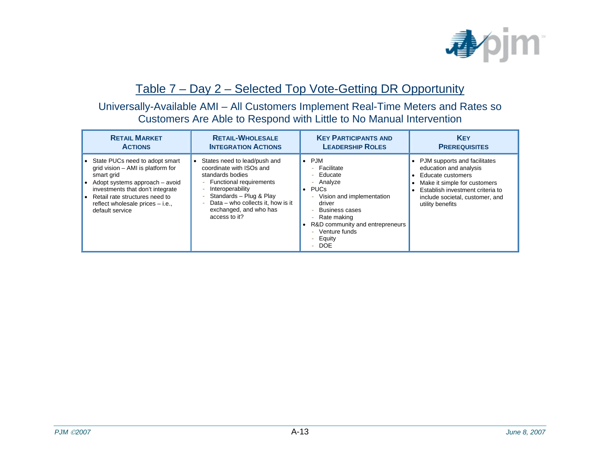

#### Table 7 – Day 2 – Selected Top Vote-Getting DR Opportunity

#### Universally-Available AMI – All Customers Implement Real-Time Meters and Rates so Customers Are Able to Respond with Little to No Manual Intervention

| <b>RETAIL MARKET</b>                                                                                                                                                                                                                             | <b>RETAIL-WHOLESALE</b>                                                                                                                                                                                                                  | <b>KEY PARTICIPANTS AND</b>                                                                                                                                                                                                                                                                                              | <b>KEY</b>                                                                                                                                                                                             |
|--------------------------------------------------------------------------------------------------------------------------------------------------------------------------------------------------------------------------------------------------|------------------------------------------------------------------------------------------------------------------------------------------------------------------------------------------------------------------------------------------|--------------------------------------------------------------------------------------------------------------------------------------------------------------------------------------------------------------------------------------------------------------------------------------------------------------------------|--------------------------------------------------------------------------------------------------------------------------------------------------------------------------------------------------------|
| <b>ACTIONS</b>                                                                                                                                                                                                                                   | <b>INTEGRATION ACTIONS</b>                                                                                                                                                                                                               | <b>LEADERSHIP ROLES</b>                                                                                                                                                                                                                                                                                                  | <b>PREREQUISITES</b>                                                                                                                                                                                   |
| State PUCs need to adopt smart<br>grid vision – AMI is platform for<br>smart grid<br>Adopt systems approach - avoid<br>investments that don't integrate<br>Retail rate structures need to<br>reflect wholesale prices – i.e.,<br>default service | States need to lead/push and<br>coordinate with ISOs and<br>standards bodies<br>- Functional requirements<br>Interoperability<br>Standards - Plug & Play<br>Data – who collects it, how is it<br>exchanged, and who has<br>access to it? | PJM<br>$\bullet$<br>Facilitate<br>$\sim$<br>Educate<br>$\overline{\phantom{a}}$<br>Analyze<br>$\overline{\phantom{a}}$<br><b>PUCs</b><br>Vision and implementation<br>-<br>driver<br><b>Business cases</b><br>Rate making<br>-<br>R&D community and entrepreneurs<br>Venture funds<br>$\equiv$<br>- Equity<br><b>DOE</b> | PJM supports and facilitates<br>education and analysis<br>Educate customers<br>Make it simple for customers<br>Establish investment criteria to<br>include societal, customer, and<br>utility benefits |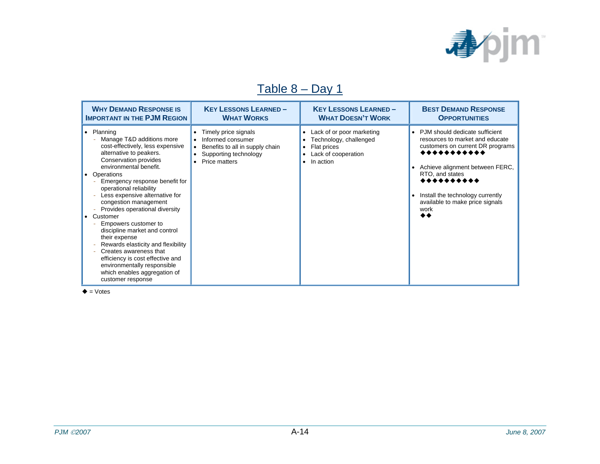

#### Table 8 – Day 1

| <b>WHY DEMAND RESPONSE IS</b>                                                                                                                                                                                                                                                                                                                                                                                                                                                                                                                                                                                     | <b>KEY LESSONS LEARNED-</b>                                                                                                 | <b>KEY LESSONS LEARNED-</b>                                                                                           | <b>BEST DEMAND RESPONSE</b>                                                                                                                                                                                                                                                                             |
|-------------------------------------------------------------------------------------------------------------------------------------------------------------------------------------------------------------------------------------------------------------------------------------------------------------------------------------------------------------------------------------------------------------------------------------------------------------------------------------------------------------------------------------------------------------------------------------------------------------------|-----------------------------------------------------------------------------------------------------------------------------|-----------------------------------------------------------------------------------------------------------------------|---------------------------------------------------------------------------------------------------------------------------------------------------------------------------------------------------------------------------------------------------------------------------------------------------------|
| <b>IMPORTANT IN THE PJM REGION</b>                                                                                                                                                                                                                                                                                                                                                                                                                                                                                                                                                                                | <b>WHAT WORKS</b>                                                                                                           | <b>WHAT DOESN'T WORK</b>                                                                                              | <b>OPPORTUNITIES</b>                                                                                                                                                                                                                                                                                    |
| • Planning<br>Manage T&D additions more<br>cost-effectively, less expensive<br>alternative to peakers.<br>Conservation provides<br>environmental benefit.<br>• Operations<br>Emergency response benefit for<br>operational reliability<br>Less expensive alternative for<br>congestion management<br>Provides operational diversity<br>Customer<br>Empowers customer to<br>discipline market and control<br>their expense<br>Rewards elasticity and flexibility<br>Creates awareness that<br>efficiency is cost effective and<br>environmentally responsible<br>which enables aggregation of<br>customer response | Timely price signals<br>٠<br>Informed consumer<br>Benefits to all in supply chain<br>Supporting technology<br>Price matters | • Lack of or poor marketing<br>Technology, challenged<br>Flat prices<br>Lack of cooperation<br>In action<br>$\bullet$ | PJM should dedicate sufficient<br>$\bullet$<br>resources to market and educate<br>customers on current DR programs<br>***********<br>Achieve alignment between FERC,<br>$\bullet$<br>RTO, and states<br>**********<br>Install the technology currently<br>available to make price signals<br>work<br>◆◆ |

 $\triangleq$  = Votes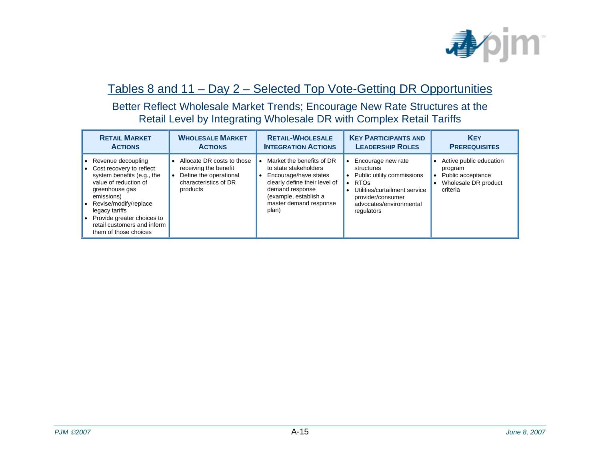

#### Tables 8 and 11 – Day 2 – Selected Top Vote-Getting DR Opportunities

Better Reflect Wholesale Market Trends; Encourage New Rate Structures at the Retail Level by Integrating Wholesale DR with Complex Retail Tariffs

| <b>RETAIL MARKET</b>                                                                                                                                                                                                                                                           | <b>WHOLESALE MARKET</b>                                                                                            | <b>RETAIL-WHOLESALE</b>                                                                                                                                                                     | <b>KEY PARTICIPANTS AND</b>                                                                                                                                                       | <b>KEY</b>                                                                                       |
|--------------------------------------------------------------------------------------------------------------------------------------------------------------------------------------------------------------------------------------------------------------------------------|--------------------------------------------------------------------------------------------------------------------|---------------------------------------------------------------------------------------------------------------------------------------------------------------------------------------------|-----------------------------------------------------------------------------------------------------------------------------------------------------------------------------------|--------------------------------------------------------------------------------------------------|
| <b>ACTIONS</b>                                                                                                                                                                                                                                                                 | <b>ACTIONS</b>                                                                                                     | <b>INTEGRATION ACTIONS</b>                                                                                                                                                                  | <b>LEADERSHIP ROLES</b>                                                                                                                                                           | <b>PREREQUISITES</b>                                                                             |
| • Revenue decoupling<br>• Cost recovery to reflect<br>system benefits (e.g., the<br>value of reduction of<br>greenhouse gas<br>emissions)<br>• Revise/modify/replace<br>legacy tariffs<br>• Provide greater choices to<br>retail customers and inform<br>them of those choices | Allocate DR costs to those<br>receiving the benefit<br>Define the operational<br>characteristics of DR<br>products | Market the benefits of DR<br>to state stakeholders<br>Encourage/have states<br>clearly define their level of<br>demand response<br>(example, establish a<br>master demand response<br>plan) | Encourage new rate<br>structures<br>Public utility commissions<br><b>RTOs</b><br>Utilities/curtailment service<br>٠<br>provider/consumer<br>advocates/environmental<br>regulators | Active public education<br>٠<br>program<br>Public acceptance<br>Wholesale DR product<br>criteria |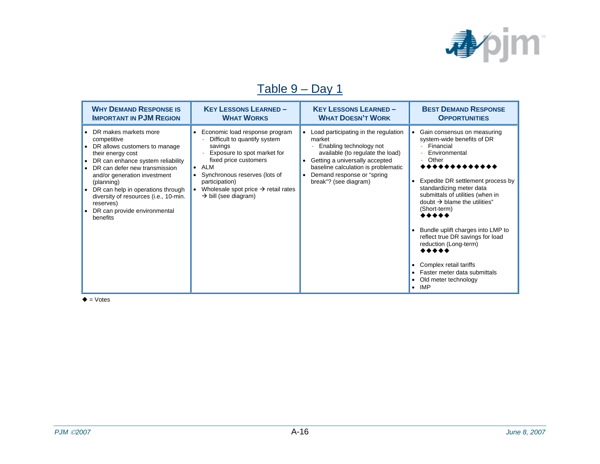

### Table 9 – Day 1

| <b>WHY DEMAND RESPONSE IS</b>                                                                                                                                                                                                                                                                                                                                 | <b>KEY LESSONS LEARNED-</b>                                                                                                                                                                                                                                                                                  | <b>KEY LESSONS LEARNED-</b>                                                                                                                                                                                                                                                   | <b>BEST DEMAND RESPONSE</b>                                                                                                                                                                                                                                                                                                                                                                                                                                                                                            |
|---------------------------------------------------------------------------------------------------------------------------------------------------------------------------------------------------------------------------------------------------------------------------------------------------------------------------------------------------------------|--------------------------------------------------------------------------------------------------------------------------------------------------------------------------------------------------------------------------------------------------------------------------------------------------------------|-------------------------------------------------------------------------------------------------------------------------------------------------------------------------------------------------------------------------------------------------------------------------------|------------------------------------------------------------------------------------------------------------------------------------------------------------------------------------------------------------------------------------------------------------------------------------------------------------------------------------------------------------------------------------------------------------------------------------------------------------------------------------------------------------------------|
| <b>IMPORTANT IN PJM REGION</b>                                                                                                                                                                                                                                                                                                                                | <b>WHAT WORKS</b>                                                                                                                                                                                                                                                                                            | <b>WHAT DOESN'T WORK</b>                                                                                                                                                                                                                                                      | <b>OPPORTUNITIES</b>                                                                                                                                                                                                                                                                                                                                                                                                                                                                                                   |
| • DR makes markets more<br>competitive<br>DR allows customers to manage<br>their energy cost<br>• DR can enhance system reliability<br>• DR can defer new transmission<br>and/or generation investment<br>(planning)<br>• DR can help in operations through<br>diversity of resources (i.e., 10-min.<br>reserves)<br>DR can provide environmental<br>benefits | Economic load response program<br>$\bullet$<br>Difficult to quantify system<br>savings<br>Exposure to spot market for<br>fixed price customers<br>ALM<br>$\bullet$<br>Synchronous reserves (lots of<br>participation)<br>Wholesale spot price $\rightarrow$ retail rates<br>$\rightarrow$ bill (see diagram) | Load participating in the regulation<br>$\bullet$<br>market<br>Enabling technology not<br>available (to regulate the load)<br>Getting a universally accepted<br>٠<br>baseline calculation is problematic<br>Demand response or "spring"<br>$\bullet$<br>break"? (see diagram) | Gain consensus on measuring<br>$\bullet$<br>system-wide benefits of DR<br>Financial<br>Environmental<br>Other<br>*************<br>Expedite DR settlement process by<br>standardizing meter data<br>submittals of utilities (when in<br>doubt $\rightarrow$ blame the utilities"<br>(Short-term)<br>*****<br>• Bundle uplift charges into LMP to<br>reflect true DR savings for load<br>reduction (Long-term)<br><br>Complex retail tariffs<br>Faster meter data submittals<br>Old meter technology<br>IMP<br>$\bullet$ |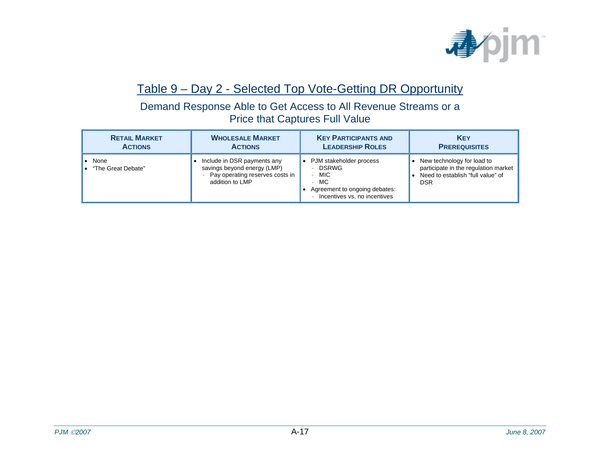

#### Table 9 – Day 2 - Selected Top Vote-Getting DR Opportunity

Demand Response Able to Get Access to All Revenue Streams or a Price that Captures Full Value

| <b>RETAIL MARKET</b>           | <b>WHOLESALE MARKET</b>                                                                                            | <b>KEY PARTICIPANTS AND</b>                                                                                                                                 | <b>KEY</b>                                                                                                            |
|--------------------------------|--------------------------------------------------------------------------------------------------------------------|-------------------------------------------------------------------------------------------------------------------------------------------------------------|-----------------------------------------------------------------------------------------------------------------------|
| <b>ACTIONS</b>                 | <b>ACTIONS</b>                                                                                                     | <b>LEADERSHIP ROLES</b>                                                                                                                                     | <b>PREREQUISITES</b>                                                                                                  |
| • None<br>• "The Great Debate" | Include in DSR payments any<br>savings beyond energy (LMP)<br>- Pay operating reserves costs in<br>addition to LMP | • PJM stakeholder process<br><b>DSRWG</b><br>$\overline{\phantom{0}}$<br>$-$ MIC<br>$-$ MC<br>Agreement to ongoing debates:<br>Incentives vs. no incentives | New technology for load to<br>participate in the regulation market<br>Need to establish "full value" of<br><b>DSR</b> |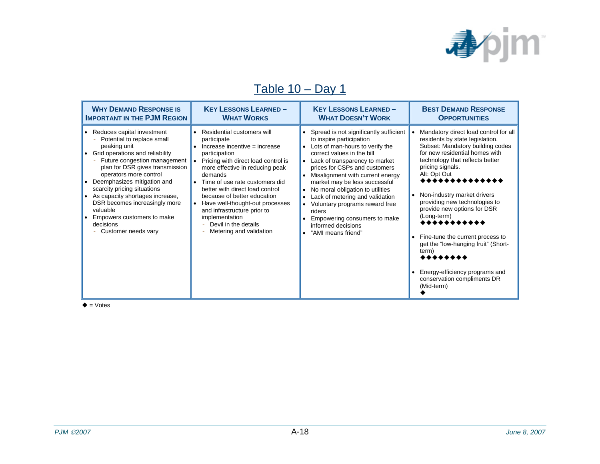

### Table 10 – Day 1

| <b>WHY DEMAND RESPONSE IS</b>                                                                                                                                                                                                                                                                                                                                                                                                | <b>KEY LESSONS LEARNED-</b>                                                                                                                                                                                                                                                                                                                                                                                                 | <b>KEY LESSONS LEARNED-</b>                                                                                                                                                                                                                                                                                                                                                                                                                                                      | <b>BEST DEMAND RESPONSE</b>                                                                                                                                                                                                                                                                                                                                                                                                                                                                                                                                                |
|------------------------------------------------------------------------------------------------------------------------------------------------------------------------------------------------------------------------------------------------------------------------------------------------------------------------------------------------------------------------------------------------------------------------------|-----------------------------------------------------------------------------------------------------------------------------------------------------------------------------------------------------------------------------------------------------------------------------------------------------------------------------------------------------------------------------------------------------------------------------|----------------------------------------------------------------------------------------------------------------------------------------------------------------------------------------------------------------------------------------------------------------------------------------------------------------------------------------------------------------------------------------------------------------------------------------------------------------------------------|----------------------------------------------------------------------------------------------------------------------------------------------------------------------------------------------------------------------------------------------------------------------------------------------------------------------------------------------------------------------------------------------------------------------------------------------------------------------------------------------------------------------------------------------------------------------------|
| <b>IMPORTANT IN THE PJM REGION</b>                                                                                                                                                                                                                                                                                                                                                                                           | <b>WHAT WORKS</b>                                                                                                                                                                                                                                                                                                                                                                                                           | <b>WHAT DOESN'T WORK</b>                                                                                                                                                                                                                                                                                                                                                                                                                                                         | <b>OPPORTUNITIES</b>                                                                                                                                                                                                                                                                                                                                                                                                                                                                                                                                                       |
| • Reduces capital investment<br>Potential to replace small<br>peaking unit<br>• Grid operations and reliability<br>Future congestion management<br>plan for DSR gives transmission<br>operators more control<br>Deemphasizes mitigation and<br>scarcity pricing situations<br>As capacity shortages increase,<br>DSR becomes increasingly more<br>valuable<br>Empowers customers to make<br>decisions<br>Customer needs vary | Residential customers will<br>participate<br>Increase incentive = increase<br>participation<br>Pricing with direct load control is<br>more effective in reducing peak<br>demands<br>Time of use rate customers did<br>better with direct load control<br>because of better education<br>Have well-thought-out processes<br>and infrastructure prior to<br>implementation<br>Devil in the details<br>Metering and validation | • Spread is not significantly sufficient<br>to inspire participation<br>• Lots of man-hours to verify the<br>correct values in the bill<br>Lack of transparency to market<br>prices for CSPs and customers<br>Misalignment with current energy<br>market may be less successful<br>• No moral obligation to utilities<br>Lack of metering and validation<br>Voluntary programs reward free<br>riders<br>Empowering consumers to make<br>informed decisions<br>"AMI means friend" | Mandatory direct load control for all<br>residents by state legislation.<br>Subset: Mandatory building codes<br>for new residential homes with<br>technology that reflects better<br>pricing signals.<br>Alt: Opt Out<br>, , , , , , , , , , , , ,<br>Non-industry market drivers<br>providing new technologies to<br>provide new options for DSR<br>(Long-term)<br>,,,,,,,,,,<br>Fine-tune the current process to<br>$\bullet$<br>get the "low-hanging fruit" (Short-<br>term)<br>********<br>Energy-efficiency programs and<br>conservation compliments DR<br>(Mid-term) |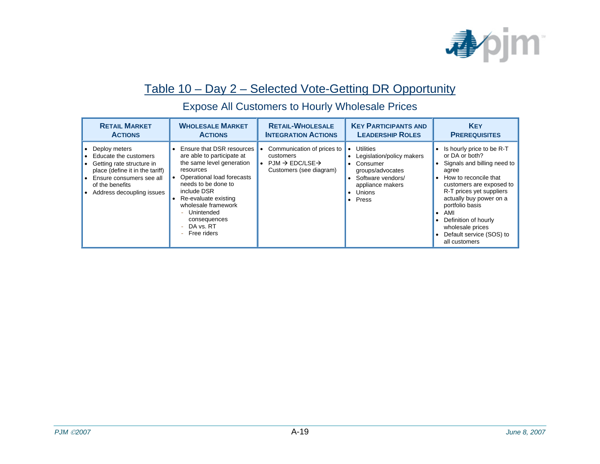

#### Table 10 – Day 2 – Selected Vote-Getting DR Opportunity

| <b>RETAIL MARKET</b>                                                                                                                                                                     | <b>WHOLESALE MARKET</b>                                                                                                                                                                                                                                                             | <b>RETAIL-WHOLESALE</b>                                                                                    | <b>KEY PARTICIPANTS AND</b>                                                                                                          | <b>KEY</b>                                                                                                                                                                                                                                                                                                         |
|------------------------------------------------------------------------------------------------------------------------------------------------------------------------------------------|-------------------------------------------------------------------------------------------------------------------------------------------------------------------------------------------------------------------------------------------------------------------------------------|------------------------------------------------------------------------------------------------------------|--------------------------------------------------------------------------------------------------------------------------------------|--------------------------------------------------------------------------------------------------------------------------------------------------------------------------------------------------------------------------------------------------------------------------------------------------------------------|
| <b>ACTIONS</b>                                                                                                                                                                           | <b>ACTIONS</b>                                                                                                                                                                                                                                                                      | <b>INTEGRATION ACTIONS</b>                                                                                 | <b>LEADERSHIP ROLES</b>                                                                                                              | <b>PREREQUISITES</b>                                                                                                                                                                                                                                                                                               |
| • Deploy meters<br>• Educate the customers<br>• Getting rate structure in<br>place (define it in the tariff)<br>Ensure consumers see all<br>of the benefits<br>Address decoupling issues | Ensure that DSR resources<br>are able to participate at<br>the same level generation<br>resources<br>Operational load forecasts<br>needs to be done to<br>include DSR<br>Re-evaluate existing<br>wholesale framework<br>Unintended<br>consequences<br>DA vs. RT<br>Free riders<br>÷ | Communication of prices to<br>customers<br>$PM \rightarrow EDC/LSE \rightarrow$<br>Customers (see diagram) | Utilities<br>Legislation/policy makers<br>Consumer<br>groups/advocates<br>Software vendors/<br>appliance makers<br>Unions<br>• Press | Is hourly price to be R-T<br>or DA or both?<br>Signals and billing need to<br>agree<br>How to reconcile that<br>customers are exposed to<br>R-T prices yet suppliers<br>actually buy power on a<br>portfolio basis<br>AMI<br>Definition of hourly<br>wholesale prices<br>Default service (SOS) to<br>all customers |

#### Expose All Customers to Hourly Wholesale Prices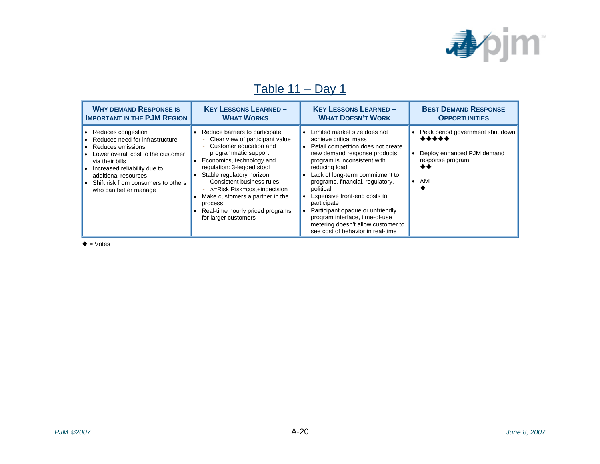

### Table 11 – Day 1

| <b>WHY DEMAND RESPONSE IS</b>                                                                                                                                                                                                                                       | <b>KEY LESSONS LEARNED-</b>                                                                                                                                                                                                                                                                                                                                                                                              | <b>KEY LESSONS LEARNED-</b>                                                                                                                                                                                                                                                                                                                                                                                                                                                                 | <b>BEST DEMAND RESPONSE</b>                                                                                    |
|---------------------------------------------------------------------------------------------------------------------------------------------------------------------------------------------------------------------------------------------------------------------|--------------------------------------------------------------------------------------------------------------------------------------------------------------------------------------------------------------------------------------------------------------------------------------------------------------------------------------------------------------------------------------------------------------------------|---------------------------------------------------------------------------------------------------------------------------------------------------------------------------------------------------------------------------------------------------------------------------------------------------------------------------------------------------------------------------------------------------------------------------------------------------------------------------------------------|----------------------------------------------------------------------------------------------------------------|
| <b>IMPORTANT IN THE PJM REGION</b>                                                                                                                                                                                                                                  | <b>WHAT WORKS</b>                                                                                                                                                                                                                                                                                                                                                                                                        | <b>WHAT DOESN'T WORK</b>                                                                                                                                                                                                                                                                                                                                                                                                                                                                    | <b>OPPORTUNITIES</b>                                                                                           |
| • Reduces congestion<br>• Reduces need for infrastructure<br>• Reduces emissions<br>Lower overall cost to the customer<br>via their bills<br>Increased reliability due to<br>additional resources<br>• Shift risk from consumers to others<br>who can better manage | Reduce barriers to participate<br>- Clear view of participant value<br>Customer education and<br>programmatic support<br>Economics, technology and<br>$\bullet$<br>regulation: 3-legged stool<br>Stable regulatory horizon<br>$\bullet$<br>- Consistent business rules<br>$-\Delta$ =Risk Risk=cost+indecision<br>Make customers a partner in the<br>process<br>Real-time hourly priced programs<br>for larger customers | Limited market size does not<br>$\bullet$<br>achieve critical mass<br>Retail competition does not create<br>$\bullet$<br>new demand response products;<br>program is inconsistent with<br>reducing load<br>Lack of long-term commitment to<br>programs, financial, regulatory,<br>political<br>Expensive front-end costs to<br>participate<br>Participant opaque or unfriendly<br>program interface, time-of-use<br>metering doesn't allow customer to<br>see cost of behavior in real-time | • Peak period government shut down<br>*****<br>Deploy enhanced PJM demand<br>response program<br>$\bullet$ AMI |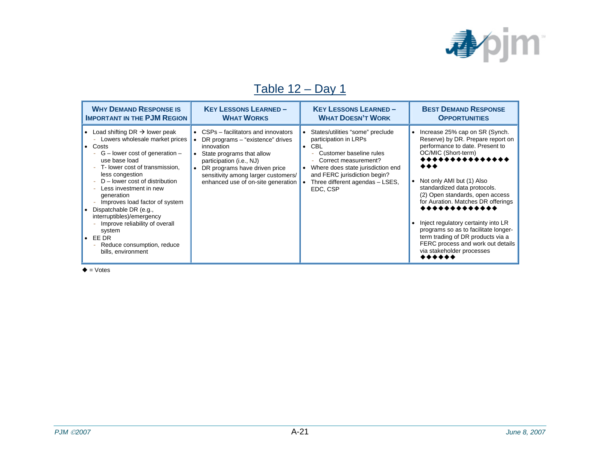

### Table 12 – Day 1

| <b>WHY DEMAND RESPONSE IS</b>                                                                                                                                                                                                                                                                                                                                                                                                                                                                          | <b>KEY LESSONS LEARNED-</b>                                                                                                                                                                                                                                 | <b>KEY LESSONS LEARNED-</b>                                                                                                                                                                                                                       | <b>BEST DEMAND RESPONSE</b>                                                                                                                                                                                                                                                                                                                                                                                                                                                                                                  |
|--------------------------------------------------------------------------------------------------------------------------------------------------------------------------------------------------------------------------------------------------------------------------------------------------------------------------------------------------------------------------------------------------------------------------------------------------------------------------------------------------------|-------------------------------------------------------------------------------------------------------------------------------------------------------------------------------------------------------------------------------------------------------------|---------------------------------------------------------------------------------------------------------------------------------------------------------------------------------------------------------------------------------------------------|------------------------------------------------------------------------------------------------------------------------------------------------------------------------------------------------------------------------------------------------------------------------------------------------------------------------------------------------------------------------------------------------------------------------------------------------------------------------------------------------------------------------------|
| <b>IMPORTANT IN THE PJM REGION</b>                                                                                                                                                                                                                                                                                                                                                                                                                                                                     | <b>WHAT WORKS</b>                                                                                                                                                                                                                                           | <b>WHAT DOESN'T WORK</b>                                                                                                                                                                                                                          | <b>OPPORTUNITIES</b>                                                                                                                                                                                                                                                                                                                                                                                                                                                                                                         |
| • Load shifting DR $\rightarrow$ lower peak<br>Lowers wholesale market prices<br>$\bullet$ Costs<br>$G$ – lower cost of generation –<br>use base load<br>T- lower cost of transmission,<br>less congestion<br>$D$ – lower cost of distribution<br>Less investment in new<br>generation<br>Improves load factor of system<br>• Dispatchable DR $(e.g.,$<br>interruptibles)/emergency<br>Improve reliability of overall<br>system<br>$\bullet$ EE DR<br>Reduce consumption, reduce<br>bills, environment | CSPs – facilitators and innovators<br>DR programs – "existence" drives<br>innovation<br>State programs that allow<br>participation (i.e., NJ)<br>DR programs have driven price<br>sensitivity among larger customers/<br>enhanced use of on-site generation | States/utilities "some" preclude<br>participation in LRPs<br>$\bullet$ CBL<br>Customer baseline rules<br>Correct measurement?<br>Where does state jurisdiction end<br>and FERC jurisdiction begin?<br>Three different agendas - LSES,<br>EDC, CSP | Increase 25% cap on SR (Synch.<br>$\bullet$<br>Reserve) by DR. Prepare report on<br>performance to date. Present to<br>OC/MIC (Short-term)<br>, , , , , , , , , , , , , , ,<br>Not only AMI but (1) Also<br>standardized data protocols.<br>(2) Open standards, open access<br>for Auration. Matches DR offerings<br>*************<br>Inject regulatory certainty into LR<br>programs so as to facilitate longer-<br>term trading of DR products via a<br>FERC process and work out details<br>via stakeholder processes<br> |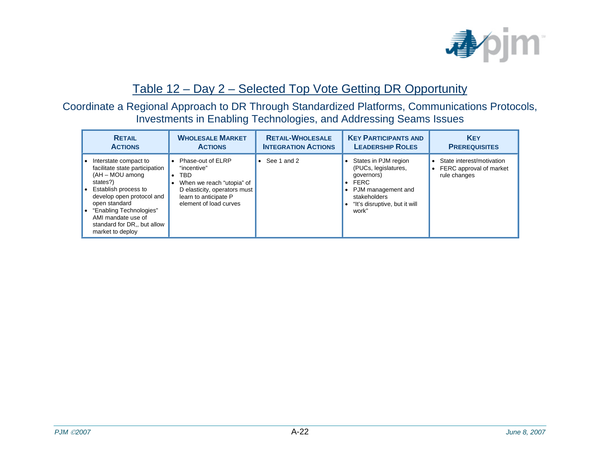

#### Table 12 – Day 2 – Selected Top Vote Getting DR Opportunity

#### Coordinate a Regional Approach to DR Through Standardized Platforms, Communications Protocols, Investments in Enabling Technologies, and Addressing Seams Issues

| <b>RETAIL</b>                                                                                                                                                                                                                                                      | <b>WHOLESALE MARKET</b>                                                                                                                                 | <b>RETAIL-WHOLESALE</b>    | <b>KEY PARTICIPANTS AND</b>                                                                                                                                                  | <b>KEY</b>                                                                                     |
|--------------------------------------------------------------------------------------------------------------------------------------------------------------------------------------------------------------------------------------------------------------------|---------------------------------------------------------------------------------------------------------------------------------------------------------|----------------------------|------------------------------------------------------------------------------------------------------------------------------------------------------------------------------|------------------------------------------------------------------------------------------------|
| <b>ACTIONS</b>                                                                                                                                                                                                                                                     | <b>ACTIONS</b>                                                                                                                                          | <b>INTEGRATION ACTIONS</b> | <b>LEADERSHIP ROLES</b>                                                                                                                                                      | <b>PREREQUISITES</b>                                                                           |
| Interstate compact to<br>facilitate state participation<br>(AH - MOU among<br>states?)<br>Establish process to<br>develop open protocol and<br>open standard<br>• "Enabling Technologies"<br>AMI mandate use of<br>standard for DR., but allow<br>market to deploy | Phase-out of ELRP<br>"incentive"<br>TBD<br>When we reach "utopia" of<br>D elasticity, operators must<br>learn to anticipate P<br>element of load curves | $\bullet$ See 1 and 2      | States in PJM region<br>$\bullet$<br>(PUCs, legislatures,<br>governors)<br>FERC<br>$\bullet$<br>PJM management and<br>stakeholders<br>"It's disruptive, but it will<br>work" | State interest/motivation<br>$\bullet$<br>FERC approval of market<br>$\bullet$<br>rule changes |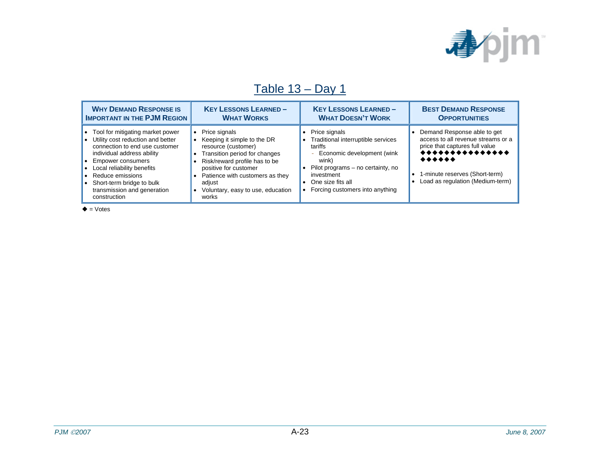

### Table 13 – Day 1

| <b>WHY DEMAND RESPONSE IS</b>                                                                                                                                                                                                                                                                    | <b>KEY LESSONS LEARNED-</b>                                                                                                                                                                                                                                                                      | <b>KEY LESSONS LEARNED -</b>                                                                                                                                                                                     | <b>BEST DEMAND RESPONSE</b>                                                                                                                                                              |
|--------------------------------------------------------------------------------------------------------------------------------------------------------------------------------------------------------------------------------------------------------------------------------------------------|--------------------------------------------------------------------------------------------------------------------------------------------------------------------------------------------------------------------------------------------------------------------------------------------------|------------------------------------------------------------------------------------------------------------------------------------------------------------------------------------------------------------------|------------------------------------------------------------------------------------------------------------------------------------------------------------------------------------------|
| <b>IMPORTANT IN THE PJM REGION</b>                                                                                                                                                                                                                                                               | <b>WHAT WORKS</b>                                                                                                                                                                                                                                                                                | <b>WHAT DOESN'T WORK</b>                                                                                                                                                                                         | <b>OPPORTUNITIES</b>                                                                                                                                                                     |
| Tool for mitigating market power<br>• Utility cost reduction and better<br>connection to end use customer<br>individual address ability<br>• Empower consumers<br>Local reliability benefits<br>• Reduce emissions<br>• Short-term bridge to bulk<br>transmission and generation<br>construction | Price signals<br>$\bullet$<br>Keeping it simple to the DR<br>resource (customer)<br>Transition period for changes<br>$\bullet$<br>Risk/reward profile has to be<br>positive for customer<br>Patience with customers as they<br>adiust<br>Voluntary, easy to use, education<br>$\bullet$<br>works | Price signals<br>Traditional interruptible services<br>tariffs<br>Economic development (wink<br>wink)<br>Pilot programs – no certainty, no<br>investment<br>One size fits all<br>Forcing customers into anything | Demand Response able to get<br>access to all revenue streams or a<br>price that captures full value<br><b></b><br><br>1-minute reserves (Short-term)<br>Load as regulation (Medium-term) |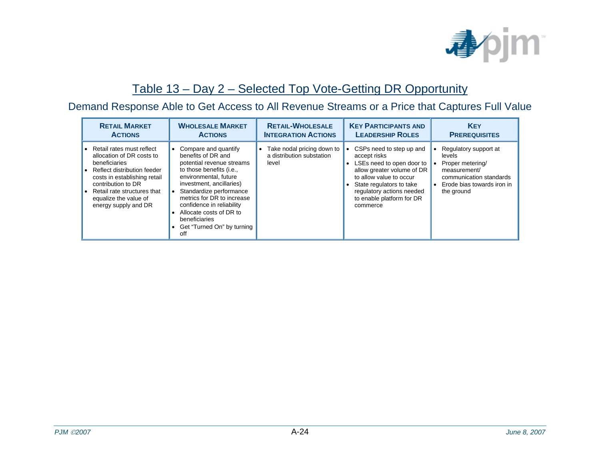

#### Table 13 – Day 2 – Selected Top Vote-Getting DR Opportunity

#### Demand Response Able to Get Access to All Revenue Streams or a Price that Captures Full Value

| <b>RETAIL MARKET</b>                                                                                                                                                                                                                           | <b>WHOLESALE MARKET</b>                                                                                                                                                                                                                                                                                                         | <b>RETAIL-WHOLESALE</b>                                                       | <b>KEY PARTICIPANTS AND</b>                                                                                                                                                                                                      | <b>KEY</b>                                                                                                                                              |
|------------------------------------------------------------------------------------------------------------------------------------------------------------------------------------------------------------------------------------------------|---------------------------------------------------------------------------------------------------------------------------------------------------------------------------------------------------------------------------------------------------------------------------------------------------------------------------------|-------------------------------------------------------------------------------|----------------------------------------------------------------------------------------------------------------------------------------------------------------------------------------------------------------------------------|---------------------------------------------------------------------------------------------------------------------------------------------------------|
| <b>ACTIONS</b>                                                                                                                                                                                                                                 | <b>ACTIONS</b>                                                                                                                                                                                                                                                                                                                  | <b>INTEGRATION ACTIONS</b>                                                    | <b>LEADERSHIP ROLES</b>                                                                                                                                                                                                          | <b>PREREQUISITES</b>                                                                                                                                    |
| • Retail rates must reflect<br>allocation of DR costs to<br>beneficiaries<br>Reflect distribution feeder<br>costs in establishing retail<br>contribution to DR<br>Retail rate structures that<br>equalize the value of<br>energy supply and DR | Compare and quantify<br>benefits of DR and<br>potential revenue streams<br>to those benefits (i.e.,<br>environmental, future<br>investment, ancillaries)<br>Standardize performance<br>metrics for DR to increase<br>confidence in reliability<br>Allocate costs of DR to<br>beneficiaries<br>Get "Turned On" by turning<br>off | Take nodal pricing down to<br>$\bullet$<br>a distribution substation<br>level | CSPs need to step up and<br>accept risks<br>LSEs need to open door to<br>allow greater volume of DR<br>to allow value to occur<br>State regulators to take<br>regulatory actions needed<br>to enable platform for DR<br>commerce | Regulatory support at<br>levels<br>Proper metering/<br>measurement/<br>communication standards<br>Erode bias towards iron in<br>$\bullet$<br>the ground |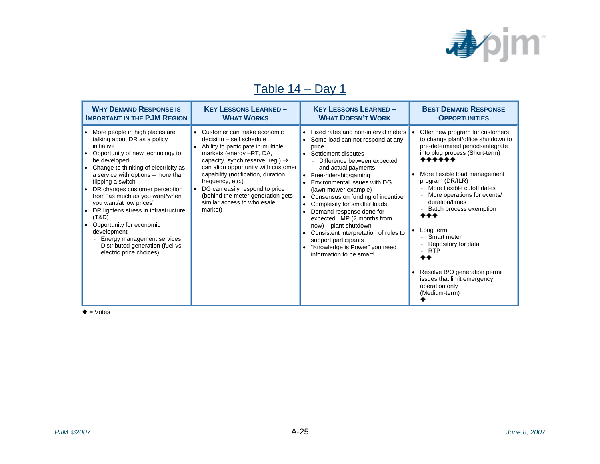

### Table 14 – Day 1

| <b>WHY DEMAND RESPONSE IS</b>                                                                                                                                                                                                                                                                                                                                                                                                                                                                                                   | <b>KEY LESSONS LEARNED-</b>                                                                                                                                                                                                                                                                                                                                                                 | <b>KEY LESSONS LEARNED-</b>                                                                                                                                                                                                                                                                                                                                                                                                                                                                                                                                                                 | <b>BEST DEMAND RESPONSE</b>                                                                                                                                                                                                                                                                                                                                                                                                                                                    |
|---------------------------------------------------------------------------------------------------------------------------------------------------------------------------------------------------------------------------------------------------------------------------------------------------------------------------------------------------------------------------------------------------------------------------------------------------------------------------------------------------------------------------------|---------------------------------------------------------------------------------------------------------------------------------------------------------------------------------------------------------------------------------------------------------------------------------------------------------------------------------------------------------------------------------------------|---------------------------------------------------------------------------------------------------------------------------------------------------------------------------------------------------------------------------------------------------------------------------------------------------------------------------------------------------------------------------------------------------------------------------------------------------------------------------------------------------------------------------------------------------------------------------------------------|--------------------------------------------------------------------------------------------------------------------------------------------------------------------------------------------------------------------------------------------------------------------------------------------------------------------------------------------------------------------------------------------------------------------------------------------------------------------------------|
| <b>IMPORTANT IN THE PJM REGION</b>                                                                                                                                                                                                                                                                                                                                                                                                                                                                                              | <b>WHAT WORKS</b>                                                                                                                                                                                                                                                                                                                                                                           | <b>WHAT DOESN'T WORK</b>                                                                                                                                                                                                                                                                                                                                                                                                                                                                                                                                                                    | <b>OPPORTUNITIES</b>                                                                                                                                                                                                                                                                                                                                                                                                                                                           |
| • More people in high places are<br>talking about DR as a policy<br>initiative<br>Opportunity of new technology to<br>be developed<br>Change to thinking of electricity as<br>a service with options – more than<br>flipping a switch<br>DR changes customer perception<br>from "as much as you want/when<br>you want/at low prices"<br>• DR lightens stress in infrastructure<br>(T&D)<br>Opportunity for economic<br>development<br>Energy management services<br>Distributed generation (fuel vs.<br>electric price choices) | Customer can make economic<br>decision - self schedule<br>Ability to participate in multiple<br>markets (energy -RT, DA,<br>capacity, synch reserve, reg.) $\rightarrow$<br>can align opportunity with customer<br>capability (notification, duration,<br>frequency, etc.)<br>DG can easily respond to price<br>(behind the meter generation gets<br>similar access to wholesale<br>market) | • Fixed rates and non-interval meters<br>Some load can not respond at any<br>price<br>Settlement disputes<br>$\bullet$<br>Difference between expected<br>and actual payments<br>Free-ridership/gaming<br>$\bullet$<br>Environmental issues with DG<br>(lawn mower example)<br>Consensus on funding of incentive<br>$\bullet$<br>Complexity for smaller loads<br>Demand response done for<br>$\bullet$<br>expected LMP (2 months from<br>now) – plant shutdown<br>Consistent interpretation of rules to<br>support participants<br>"Knowledge is Power" you need<br>information to be smart! | Offer new program for customers<br>to change plant/office shutdown to<br>pre-determined periods/integrate<br>into plug process (Short-term)<br>More flexible load management<br>program (DR/ILR)<br>More flexible cutoff dates<br>More operations for events/<br>duration/times<br>Batch process exemption<br>Long term<br>Smart meter<br>Repository for data<br>÷<br>- RTP<br>Resolve B/O generation permit<br>issues that limit emergency<br>operation only<br>(Medium-term) |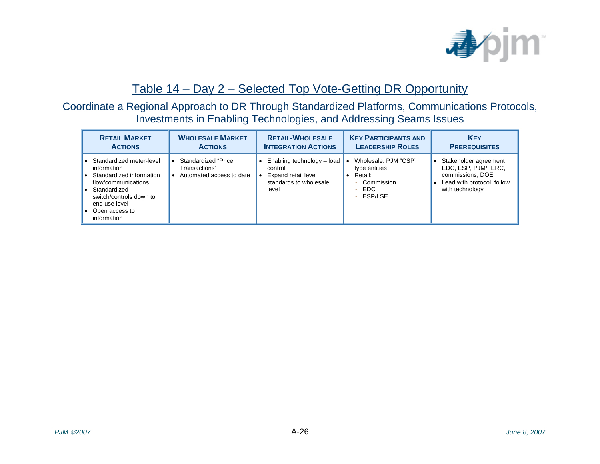

#### Table 14 – Day 2 – Selected Top Vote-Getting DR Opportunity

#### Coordinate a Regional Approach to DR Through Standardized Platforms, Communications Protocols, Investments in Enabling Technologies, and Addressing Seams Issues

| <b>RETAIL MARKET</b>                                                                                                                                                                     | <b>WHOLESALE MARKET</b>                                           | <b>RETAIL-WHOLESALE</b>                                                                         | <b>KEY PARTICIPANTS AND</b>                                                                  | <b>KEY</b>                                                                                                        |
|------------------------------------------------------------------------------------------------------------------------------------------------------------------------------------------|-------------------------------------------------------------------|-------------------------------------------------------------------------------------------------|----------------------------------------------------------------------------------------------|-------------------------------------------------------------------------------------------------------------------|
| <b>ACTIONS</b>                                                                                                                                                                           | <b>ACTIONS</b>                                                    | <b>INTEGRATION ACTIONS</b>                                                                      | <b>LEADERSHIP ROLES</b>                                                                      | <b>PREREQUISITES</b>                                                                                              |
| Standardized meter-level<br>information<br>Standardized information<br>flow/communications.<br>Standardized<br>switch/controls down to<br>end use level<br>Open access to<br>information | Standardized "Price"<br>Transactions"<br>Automated access to date | Enabling technology - load<br>control<br>Expand retail level<br>standards to wholesale<br>level | Wholesale: PJM "CSP"<br>type entities<br>Retail:<br>Commission<br>۳<br>EDC.<br>Ξ.<br>ESP/LSE | Stakeholder agreement<br>EDC, ESP, PJM/FERC,<br>commissions, DOE<br>Lead with protocol, follow<br>with technology |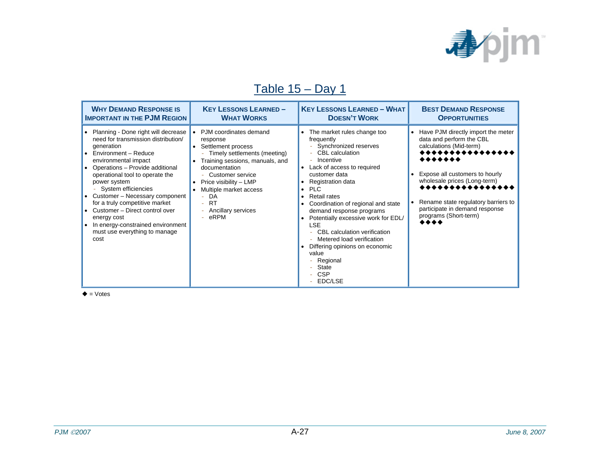

### Table 15 – Day 1

| <b>WHY DEMAND RESPONSE IS</b>                                                                                                                                                                                                                                                                                                                                                                                                                                           | <b>KEY LESSONS LEARNED-</b>                                                                                                                                                                                                                                                   | <b>KEY LESSONS LEARNED - WHAT</b>                                                                                                                                                                                                                                                                                                                                                                                                                                                                                                              | <b>BEST DEMAND RESPONSE</b>                                                                                                                                                                                                                                                                                   |
|-------------------------------------------------------------------------------------------------------------------------------------------------------------------------------------------------------------------------------------------------------------------------------------------------------------------------------------------------------------------------------------------------------------------------------------------------------------------------|-------------------------------------------------------------------------------------------------------------------------------------------------------------------------------------------------------------------------------------------------------------------------------|------------------------------------------------------------------------------------------------------------------------------------------------------------------------------------------------------------------------------------------------------------------------------------------------------------------------------------------------------------------------------------------------------------------------------------------------------------------------------------------------------------------------------------------------|---------------------------------------------------------------------------------------------------------------------------------------------------------------------------------------------------------------------------------------------------------------------------------------------------------------|
| <b>IMPORTANT IN THE PJM REGION</b>                                                                                                                                                                                                                                                                                                                                                                                                                                      | <b>WHAT WORKS</b>                                                                                                                                                                                                                                                             | <b>DOESN'T WORK</b>                                                                                                                                                                                                                                                                                                                                                                                                                                                                                                                            | <b>OPPORTUNITIES</b>                                                                                                                                                                                                                                                                                          |
| Planning - Done right will decrease<br>$\bullet$<br>need for transmission distribution/<br>generation<br>Environment - Reduce<br>environmental impact<br>Operations - Provide additional<br>operational tool to operate the<br>power system<br>- System efficiencies<br>Customer - Necessary component<br>for a truly competitive market<br>Customer - Direct control over<br>energy cost<br>In energy-constrained environment<br>must use everything to manage<br>cost | PJM coordinates demand<br>response<br>Settlement process<br>Timely settlements (meeting)<br>Training sessions, manuals, and<br>documentation<br>- Customer service<br>Price visibility - LMP<br>Multiple market access<br>- DA<br><b>RT</b><br>Ancillary services<br>$-$ eRPM | The market rules change too<br>frequently<br>Synchronized reserves<br>$\sim$ .<br><b>CBL</b> calculation<br>Incentive<br>Lack of access to required<br>customer data<br>Registration data<br><b>PLC</b><br>$\bullet$<br><b>Retail rates</b><br>$\bullet$<br>Coordination of regional and state<br>demand response programs<br>Potentially excessive work for EDL/<br><b>LSE</b><br>CBL calculation verification<br>- Metered load verification<br>Differing opinions on economic<br>value<br>Regional<br><b>State</b><br><b>CSP</b><br>EDC/LSE | Have PJM directly import the meter<br>٠<br>data and perform the CBL<br>calculations (Mid-term)<br>,,,,,,,,<br>,,,,,,,<br>Expose all customers to hourly<br>wholesale prices (Long-term)<br>,,,,,,,,,,,,<br>Rename state regulatory barriers to<br>participate in demand response<br>programs (Short-term)<br> |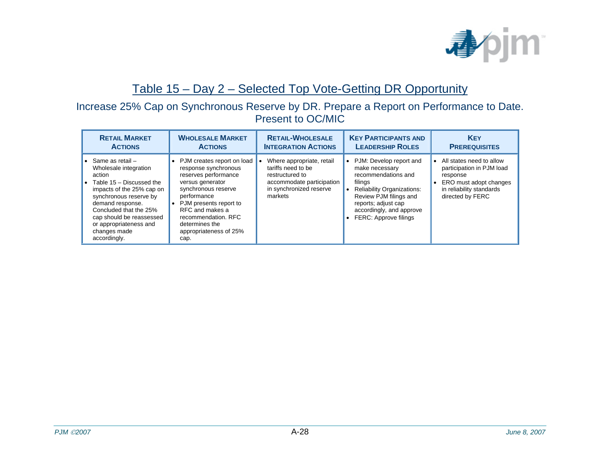

#### Table 15 – Day 2 – Selected Top Vote-Getting DR Opportunity

#### Increase 25% Cap on Synchronous Reserve by DR. Prepare a Report on Performance to Date. Present to OC/MIC

| <b>RETAIL MARKET</b>                                                                                                                                                                                                                                                               | <b>WHOLESALE MARKET</b>                                                                                                                                                                                                                                          | <b>RETAIL-WHOLESALE</b>                                                                                                               | <b>KEY PARTICIPANTS AND</b>                                                                                                                                                                                                         | <b>KEY</b>                                                                                                                                               |
|------------------------------------------------------------------------------------------------------------------------------------------------------------------------------------------------------------------------------------------------------------------------------------|------------------------------------------------------------------------------------------------------------------------------------------------------------------------------------------------------------------------------------------------------------------|---------------------------------------------------------------------------------------------------------------------------------------|-------------------------------------------------------------------------------------------------------------------------------------------------------------------------------------------------------------------------------------|----------------------------------------------------------------------------------------------------------------------------------------------------------|
| <b>ACTIONS</b>                                                                                                                                                                                                                                                                     | <b>ACTIONS</b>                                                                                                                                                                                                                                                   | <b>INTEGRATION ACTIONS</b>                                                                                                            | <b>LEADERSHIP ROLES</b>                                                                                                                                                                                                             | <b>PREREQUISITES</b>                                                                                                                                     |
| • Same as retail $-$<br>Wholesale integration<br>action<br>• Table $15 -$ Discussed the<br>impacts of the 25% cap on<br>synchronous reserve by<br>demand response.<br>Concluded that the 25%<br>cap should be reassessed<br>or appropriateness and<br>changes made<br>accordingly. | • PJM creates report on load<br>response synchronous<br>reserves performance<br>versus generator<br>synchronous reserve<br>performance<br>• PJM presents report to<br>RFC and makes a<br>recommendation, RFC<br>determines the<br>appropriateness of 25%<br>cap. | Where appropriate, retail<br>tariffs need to be<br>restructured to<br>accommodate participation<br>in synchronized reserve<br>markets | PJM: Develop report and<br>$\bullet$<br>make necessary<br>recommendations and<br>filings<br><b>Reliability Organizations:</b><br>Review PJM filings and<br>reports; adjust cap<br>accordingly, and approve<br>FERC: Approve filings | All states need to allow<br>$\bullet$<br>participation in PJM load<br>response<br>ERO must adopt changes<br>in reliability standards<br>directed by FERC |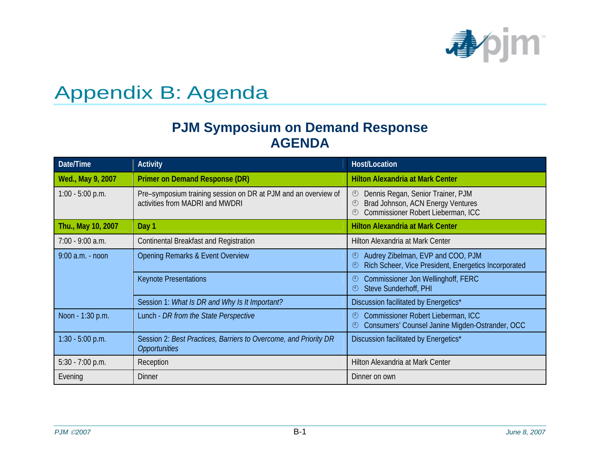

## Appendix B: Agenda

#### **PJM Symposium on Demand Response AGENDA**

| Date/Time          | <b>Activity</b>                                                                                   | Host/Location                                                                                                                                          |
|--------------------|---------------------------------------------------------------------------------------------------|--------------------------------------------------------------------------------------------------------------------------------------------------------|
| Wed., May 9, 2007  | <b>Primer on Demand Response (DR)</b>                                                             | <b>Hilton Alexandria at Mark Center</b>                                                                                                                |
| 1:00 - 5:00 p.m.   | Pre-symposium training session on DR at PJM and an overview of<br>activities from MADRI and MWDRI | Dennis Regan, Senior Trainer, PJM<br>$\bigcirc$<br>Brad Johnson, ACN Energy Ventures<br>$\circled{1}$<br>Commissioner Robert Lieberman, ICC<br>$\odot$ |
| Thu., May 10, 2007 | Day 1                                                                                             | <b>Hilton Alexandria at Mark Center</b>                                                                                                                |
| 7:00 - 9:00 a.m.   | Continental Breakfast and Registration                                                            | Hilton Alexandria at Mark Center                                                                                                                       |
| $9:00$ a.m. - noon | <b>Opening Remarks &amp; Event Overview</b>                                                       | Audrey Zibelman, EVP and COO, PJM<br>$\odot$<br>Rich Scheer, Vice President, Energetics Incorporated<br>$^{\rm (4)}$                                   |
|                    | <b>Keynote Presentations</b>                                                                      | <b>Commissioner Jon Wellinghoff, FERC</b><br>$\circledcirc$<br>Steve Sunderhoff, PHI<br>$\odot$                                                        |
|                    | Session 1: What Is DR and Why Is It Important?                                                    | Discussion facilitated by Energetics*                                                                                                                  |
| Noon - 1:30 p.m.   | Lunch - DR from the State Perspective                                                             | Commissioner Robert Lieberman, ICC<br>$\odot$<br>Consumers' Counsel Janine Migden-Ostrander, OCC<br>$\bigcirc$                                         |
| $1:30 - 5:00$ p.m. | Session 2: Best Practices, Barriers to Overcome, and Priority DR<br><b>Opportunities</b>          | Discussion facilitated by Energetics*                                                                                                                  |
| $5:30 - 7:00$ p.m. | Reception                                                                                         | Hilton Alexandria at Mark Center                                                                                                                       |
| Evening            | <b>Dinner</b>                                                                                     | Dinner on own                                                                                                                                          |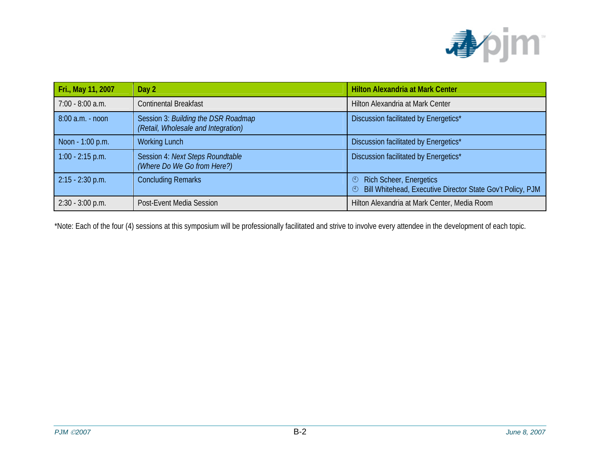

| Fri., May 11, 2007 | Day 2                                                                      | <b>Hilton Alexandria at Mark Center</b>                                                                            |
|--------------------|----------------------------------------------------------------------------|--------------------------------------------------------------------------------------------------------------------|
| 7:00 - 8:00 a.m.   | <b>Continental Breakfast</b>                                               | Hilton Alexandria at Mark Center                                                                                   |
| $8:00$ a.m. - noon | Session 3: Building the DSR Roadmap<br>(Retail, Wholesale and Integration) | Discussion facilitated by Energetics*                                                                              |
| Noon - 1:00 p.m.   | <b>Working Lunch</b>                                                       | Discussion facilitated by Energetics*                                                                              |
| $1:00 - 2:15$ p.m. | Session 4: Next Steps Roundtable<br>(Where Do We Go from Here?)            | Discussion facilitated by Energetics*                                                                              |
| $2:15 - 2:30$ p.m. | <b>Concluding Remarks</b>                                                  | <b>Rich Scheer, Energetics</b><br>$\odot$<br>Bill Whitehead, Executive Director State Gov't Policy, PJM<br>$\odot$ |
| $2:30 - 3:00$ p.m. | Post-Event Media Session                                                   | Hilton Alexandria at Mark Center, Media Room                                                                       |

\*Note: Each of the four (4) sessions at this symposium will be professionally facilitated and strive to involve every attendee in the development of each topic.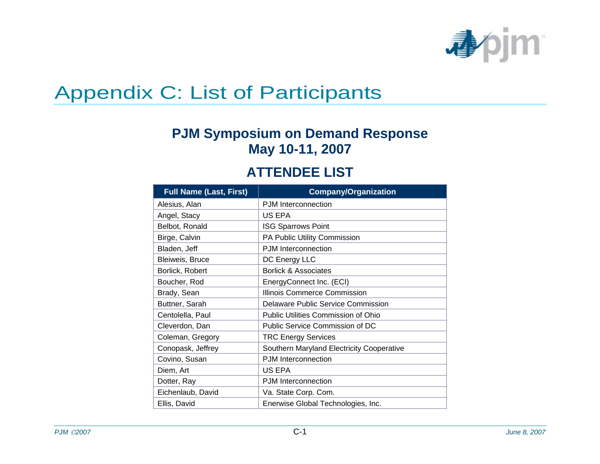

## Appendix C: List of Participants

## **PJM Symposium on Demand Response May 10-11, 2007**

#### **ATTENDEE LIST**

| <b>Full Name (Last, First)</b> | <b>Company/Organization</b>               |
|--------------------------------|-------------------------------------------|
| Alesius, Alan                  | PJM Interconnection                       |
| Angel, Stacy                   | US EPA                                    |
| Belbot, Ronald                 | <b>ISG Sparrows Point</b>                 |
| Birge, Calvin                  | PA Public Utility Commission              |
| Bladen, Jeff                   | PJM Interconnection                       |
| Bleiweis, Bruce                | DC Energy LLC                             |
| Borlick, Robert                | <b>Borlick &amp; Associates</b>           |
| Boucher, Rod                   | EnergyConnect Inc. (ECI)                  |
| Brady, Sean                    | Illinois Commerce Commission              |
| Buttner, Sarah                 | <b>Delaware Public Service Commission</b> |
| Centolella, Paul               | Public Utilities Commission of Ohio       |
| Cleverdon, Dan                 | Public Service Commission of DC           |
| Coleman, Gregory               | <b>TRC Energy Services</b>                |
| Conopask, Jeffrey              | Southern Maryland Electricity Cooperative |
| Covino, Susan                  | <b>PJM</b> Interconnection                |
| Diem, Art                      | US EPA                                    |
| Dotter, Ray                    | <b>PJM</b> Interconnection                |
| Eichenlaub, David              | Va. State Corp. Com.                      |
| Ellis, David                   | Enerwise Global Technologies, Inc.        |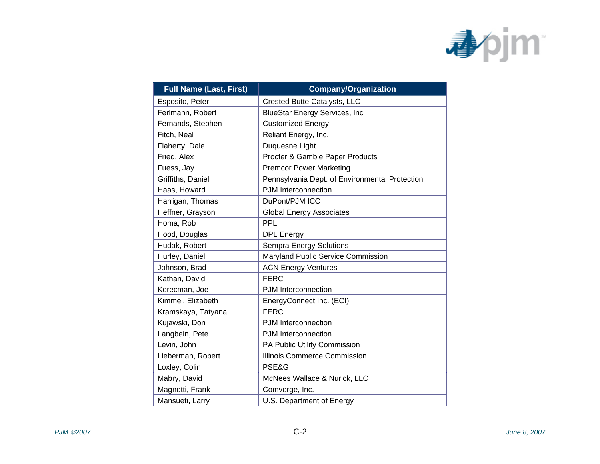

| <b>Full Name (Last, First)</b> | <b>Company/Organization</b>                    |
|--------------------------------|------------------------------------------------|
| Esposito, Peter                | Crested Butte Catalysts, LLC                   |
| Ferlmann, Robert               | <b>BlueStar Energy Services, Inc</b>           |
| Fernands, Stephen              | <b>Customized Energy</b>                       |
| Fitch, Neal                    | Reliant Energy, Inc.                           |
| Flaherty, Dale                 | Duquesne Light                                 |
| Fried, Alex                    | Procter & Gamble Paper Products                |
| Fuess, Jay                     | <b>Premcor Power Marketing</b>                 |
| Griffiths, Daniel              | Pennsylvania Dept. of Environmental Protection |
| Haas, Howard                   | PJM Interconnection                            |
| Harrigan, Thomas               | DuPont/PJM ICC                                 |
| Heffner, Grayson               | <b>Global Energy Associates</b>                |
| Homa, Rob                      | PPL                                            |
| Hood, Douglas                  | <b>DPL Energy</b>                              |
| Hudak, Robert                  | Sempra Energy Solutions                        |
| Hurley, Daniel                 | Maryland Public Service Commission             |
| Johnson, Brad                  | <b>ACN Energy Ventures</b>                     |
| Kathan, David                  | <b>FERC</b>                                    |
| Kerecman, Joe                  | PJM Interconnection                            |
| Kimmel, Elizabeth              | EnergyConnect Inc. (ECI)                       |
| Kramskaya, Tatyana             | <b>FERC</b>                                    |
| Kujawski, Don                  | PJM Interconnection                            |
| Langbein, Pete                 | PJM Interconnection                            |
| Levin, John                    | PA Public Utility Commission                   |
| Lieberman, Robert              | <b>Illinois Commerce Commission</b>            |
| Loxley, Colin                  | PSE&G                                          |
| Mabry, David                   | McNees Wallace & Nurick, LLC                   |
| Magnotti, Frank                | Comverge, Inc.                                 |
| Mansueti, Larry                | U.S. Department of Energy                      |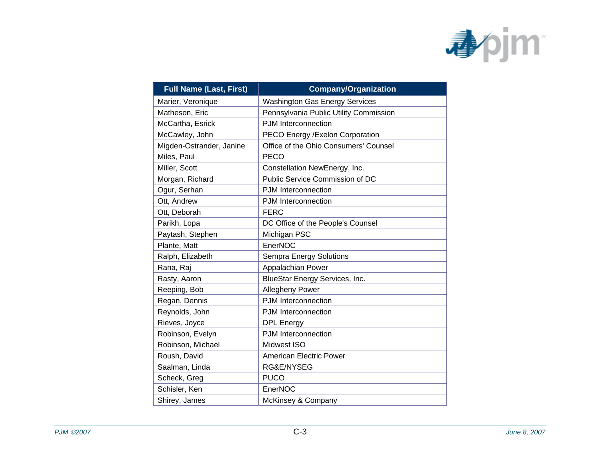

| <b>Full Name (Last, First)</b> | <b>Company/Organization</b>            |
|--------------------------------|----------------------------------------|
| Marier, Veronique              | <b>Washington Gas Energy Services</b>  |
| Matheson, Eric                 | Pennsylvania Public Utility Commission |
| McCartha, Esrick               | PJM Interconnection                    |
| McCawley, John                 | PECO Energy / Exelon Corporation       |
| Migden-Ostrander, Janine       | Office of the Ohio Consumers' Counsel  |
| Miles, Paul                    | <b>PECO</b>                            |
| Miller, Scott                  | Constellation NewEnergy, Inc.          |
| Morgan, Richard                | Public Service Commission of DC        |
| Ogur, Serhan                   | <b>PJM</b> Interconnection             |
| Ott, Andrew                    | PJM Interconnection                    |
| Ott, Deborah                   | <b>FERC</b>                            |
| Parikh, Lopa                   | DC Office of the People's Counsel      |
| Paytash, Stephen               | Michigan PSC                           |
| Plante, Matt                   | EnerNOC                                |
| Ralph, Elizabeth               | Sempra Energy Solutions                |
| Rana, Raj                      | Appalachian Power                      |
| Rasty, Aaron                   | BlueStar Energy Services, Inc.         |
| Reeping, Bob                   | Allegheny Power                        |
| Regan, Dennis                  | PJM Interconnection                    |
| Reynolds, John                 | PJM Interconnection                    |
| Rieves, Joyce                  | <b>DPL</b> Energy                      |
| Robinson, Evelyn               | PJM Interconnection                    |
| Robinson, Michael              | Midwest ISO                            |
| Roush, David                   | <b>American Electric Power</b>         |
| Saalman, Linda                 | RG&E/NYSEG                             |
| Scheck, Greg                   | <b>PUCO</b>                            |
| Schisler, Ken                  | EnerNOC                                |
| Shirey, James                  | McKinsey & Company                     |